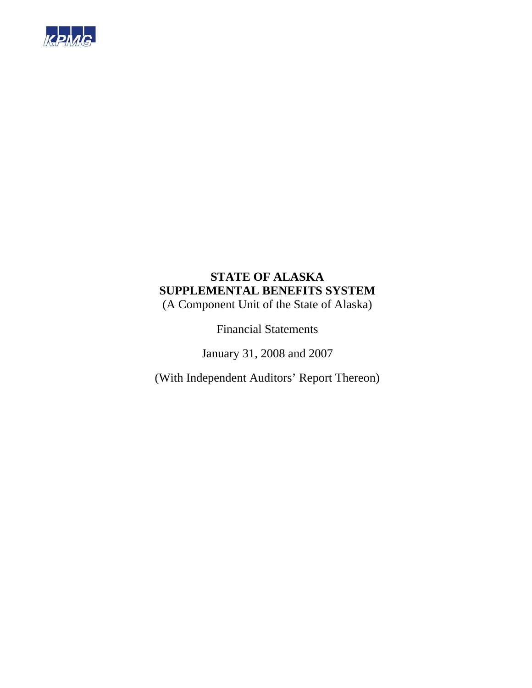

# **STATE OF ALASKA SUPPLEMENTAL BENEFITS SYSTEM**

(A Component Unit of the State of Alaska)

Financial Statements

January 31, 2008 and 2007

(With Independent Auditors' Report Thereon)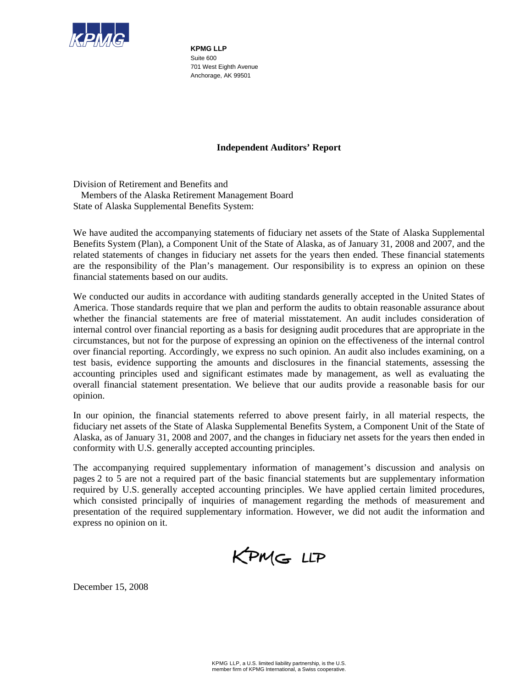

**KPMG LLP**  Suite 600 701 West Eighth Avenue Anchorage, AK 99501

#### **Independent Auditors' Report**

Division of Retirement and Benefits and Members of the Alaska Retirement Management Board State of Alaska Supplemental Benefits System:

We have audited the accompanying statements of fiduciary net assets of the State of Alaska Supplemental Benefits System (Plan), a Component Unit of the State of Alaska, as of January 31, 2008 and 2007, and the related statements of changes in fiduciary net assets for the years then ended. These financial statements are the responsibility of the Plan's management. Our responsibility is to express an opinion on these financial statements based on our audits.

We conducted our audits in accordance with auditing standards generally accepted in the United States of America. Those standards require that we plan and perform the audits to obtain reasonable assurance about whether the financial statements are free of material misstatement. An audit includes consideration of internal control over financial reporting as a basis for designing audit procedures that are appropriate in the circumstances, but not for the purpose of expressing an opinion on the effectiveness of the internal control over financial reporting. Accordingly, we express no such opinion. An audit also includes examining, on a test basis, evidence supporting the amounts and disclosures in the financial statements, assessing the accounting principles used and significant estimates made by management, as well as evaluating the overall financial statement presentation. We believe that our audits provide a reasonable basis for our opinion.

In our opinion, the financial statements referred to above present fairly, in all material respects, the fiduciary net assets of the State of Alaska Supplemental Benefits System, a Component Unit of the State of Alaska, as of January 31, 2008 and 2007, and the changes in fiduciary net assets for the years then ended in conformity with U.S. generally accepted accounting principles.

The accompanying required supplementary information of management's discussion and analysis on pages 2 to 5 are not a required part of the basic financial statements but are supplementary information required by U.S. generally accepted accounting principles. We have applied certain limited procedures, which consisted principally of inquiries of management regarding the methods of measurement and presentation of the required supplementary information. However, we did not audit the information and express no opinion on it.



December 15, 2008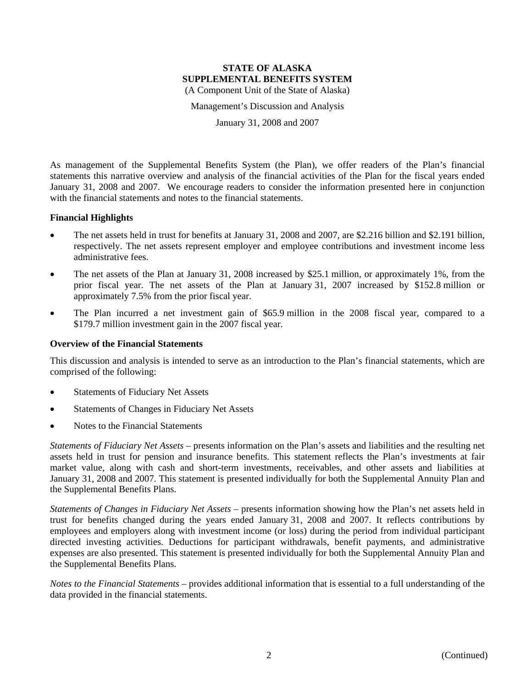Management's Discussion and Analysis

January 31, 2008 and 2007

As management of the Supplemental Benefits System (the Plan), we offer readers of the Plan's financial statements this narrative overview and analysis of the financial activities of the Plan for the fiscal years ended January 31, 2008 and 2007. We encourage readers to consider the information presented here in conjunction with the financial statements and notes to the financial statements.

#### **Financial Highlights**

- The net assets held in trust for benefits at January 31, 2008 and 2007, are \$2.216 billion and \$2.191 billion, respectively. The net assets represent employer and employee contributions and investment income less administrative fees.
- The net assets of the Plan at January 31, 2008 increased by \$25.1 million, or approximately 1%, from the prior fiscal year. The net assets of the Plan at January 31, 2007 increased by \$152.8 million or approximately 7.5% from the prior fiscal year.
- The Plan incurred a net investment gain of \$65.9 million in the 2008 fiscal year, compared to a \$179.7 million investment gain in the 2007 fiscal year.

#### **Overview of the Financial Statements**

This discussion and analysis is intended to serve as an introduction to the Plan's financial statements, which are comprised of the following:

- Statements of Fiduciary Net Assets
- Statements of Changes in Fiduciary Net Assets
- Notes to the Financial Statements

*Statements of Fiduciary Net Assets* – presents information on the Plan's assets and liabilities and the resulting net assets held in trust for pension and insurance benefits. This statement reflects the Plan's investments at fair market value, along with cash and short-term investments, receivables, and other assets and liabilities at January 31, 2008 and 2007. This statement is presented individually for both the Supplemental Annuity Plan and the Supplemental Benefits Plans.

*Statements of Changes in Fiduciary Net Assets* – presents information showing how the Plan's net assets held in trust for benefits changed during the years ended January 31, 2008 and 2007. It reflects contributions by employees and employers along with investment income (or loss) during the period from individual participant directed investing activities. Deductions for participant withdrawals, benefit payments, and administrative expenses are also presented. This statement is presented individually for both the Supplemental Annuity Plan and the Supplemental Benefits Plans.

*Notes to the Financial Statements* – provides additional information that is essential to a full understanding of the data provided in the financial statements.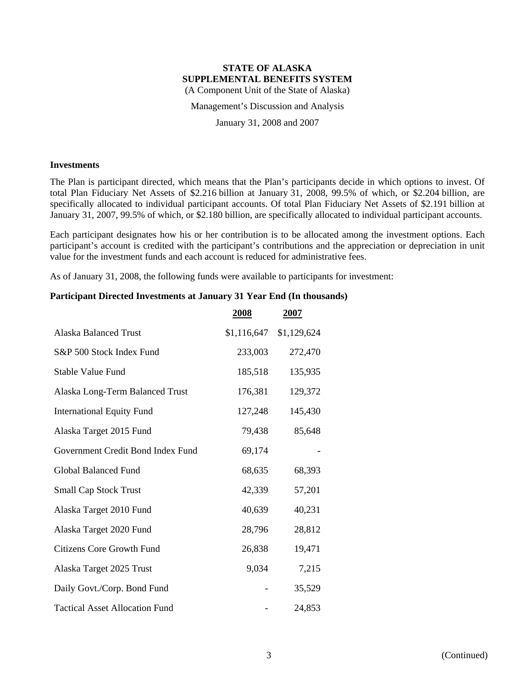Management's Discussion and Analysis

January 31, 2008 and 2007

#### **Investments**

The Plan is participant directed, which means that the Plan's participants decide in which options to invest. Of total Plan Fiduciary Net Assets of \$2.216 billion at January 31, 2008, 99.5% of which, or \$2.204 billion, are specifically allocated to individual participant accounts. Of total Plan Fiduciary Net Assets of \$2.191 billion at January 31, 2007, 99.5% of which, or \$2.180 billion, are specifically allocated to individual participant accounts.

Each participant designates how his or her contribution is to be allocated among the investment options. Each participant's account is credited with the participant's contributions and the appreciation or depreciation in unit value for the investment funds and each account is reduced for administrative fees.

As of January 31, 2008, the following funds were available to participants for investment:

### **Participant Directed Investments at January 31 Year End (In thousands)**

|                                       | <b>2008</b> | 2007        |
|---------------------------------------|-------------|-------------|
| <b>Alaska Balanced Trust</b>          | \$1,116,647 | \$1,129,624 |
| S&P 500 Stock Index Fund              | 233,003     | 272,470     |
| <b>Stable Value Fund</b>              | 185,518     | 135,935     |
| Alaska Long-Term Balanced Trust       | 176,381     | 129,372     |
| <b>International Equity Fund</b>      | 127,248     | 145,430     |
| Alaska Target 2015 Fund               | 79,438      | 85,648      |
| Government Credit Bond Index Fund     | 69,174      |             |
| <b>Global Balanced Fund</b>           | 68,635      | 68,393      |
| <b>Small Cap Stock Trust</b>          | 42,339      | 57,201      |
| Alaska Target 2010 Fund               | 40,639      | 40,231      |
| Alaska Target 2020 Fund               | 28,796      | 28,812      |
| <b>Citizens Core Growth Fund</b>      | 26,838      | 19,471      |
| Alaska Target 2025 Trust              | 9,034       | 7,215       |
| Daily Govt./Corp. Bond Fund           |             | 35,529      |
| <b>Tactical Asset Allocation Fund</b> |             | 24,853      |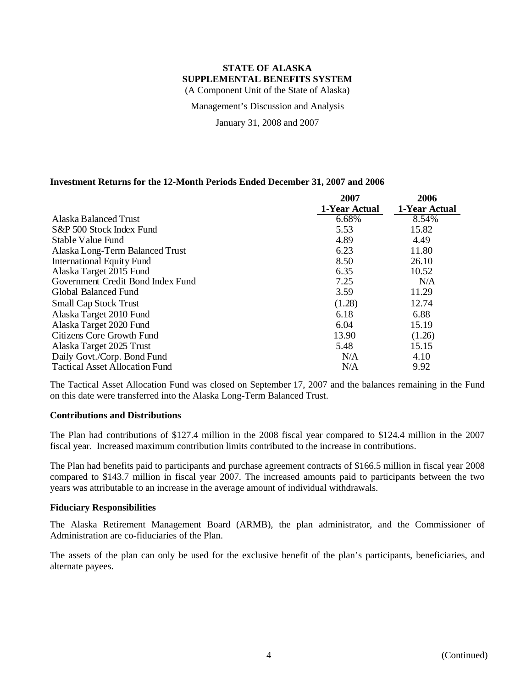Management's Discussion and Analysis

January 31, 2008 and 2007

#### **Investment Returns for the 12-Month Periods Ended December 31, 2007 and 2006**

|                                       | 2007          | 2006          |
|---------------------------------------|---------------|---------------|
|                                       | 1-Year Actual | 1-Year Actual |
| Alaska Balanced Trust                 | 6.68%         | 8.54%         |
| S&P 500 Stock Index Fund              | 5.53          | 15.82         |
| Stable Value Fund                     | 4.89          | 4.49          |
| Alaska Long-Term Balanced Trust       | 6.23          | 11.80         |
| <b>International Equity Fund</b>      | 8.50          | 26.10         |
| Alaska Target 2015 Fund               | 6.35          | 10.52         |
| Government Credit Bond Index Fund     | 7.25          | N/A           |
| Global Balanced Fund                  | 3.59          | 11.29         |
| <b>Small Cap Stock Trust</b>          | (1.28)        | 12.74         |
| Alaska Target 2010 Fund               | 6.18          | 6.88          |
| Alaska Target 2020 Fund               | 6.04          | 15.19         |
| Citizens Core Growth Fund             | 13.90         | (1.26)        |
| Alaska Target 2025 Trust              | 5.48          | 15.15         |
| Daily Govt./Corp. Bond Fund           | N/A           | 4.10          |
| <b>Tactical Asset Allocation Fund</b> | N/A           | 9.92          |

The Tactical Asset Allocation Fund was closed on September 17, 2007 and the balances remaining in the Fund on this date were transferred into the Alaska Long-Term Balanced Trust.

#### **Contributions and Distributions**

The Plan had contributions of \$127.4 million in the 2008 fiscal year compared to \$124.4 million in the 2007 fiscal year. Increased maximum contribution limits contributed to the increase in contributions.

The Plan had benefits paid to participants and purchase agreement contracts of \$166.5 million in fiscal year 2008 compared to \$143.7 million in fiscal year 2007. The increased amounts paid to participants between the two years was attributable to an increase in the average amount of individual withdrawals.

#### **Fiduciary Responsibilities**

The Alaska Retirement Management Board (ARMB), the plan administrator, and the Commissioner of Administration are co-fiduciaries of the Plan.

The assets of the plan can only be used for the exclusive benefit of the plan's participants, beneficiaries, and alternate payees.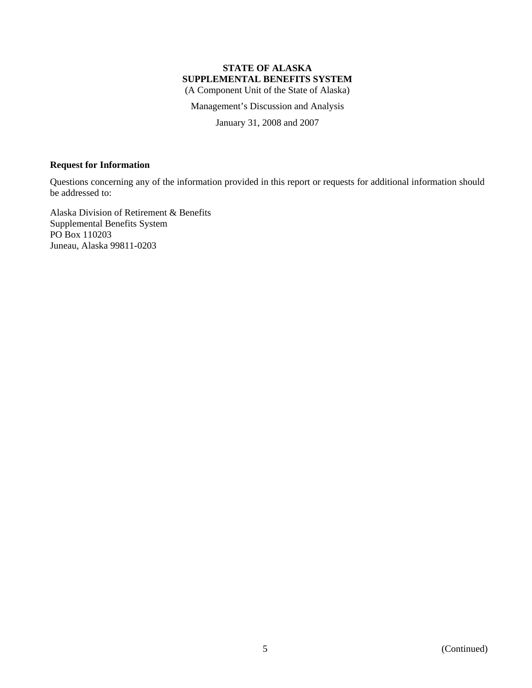## **STATE OF ALASKA SUPPLEMENTAL BENEFITS SYSTEM**

(A Component Unit of the State of Alaska)

Management's Discussion and Analysis

January 31, 2008 and 2007

#### **Request for Information**

Questions concerning any of the information provided in this report or requests for additional information should be addressed to:

Alaska Division of Retirement & Benefits Supplemental Benefits System PO Box 110203 Juneau, Alaska 99811-0203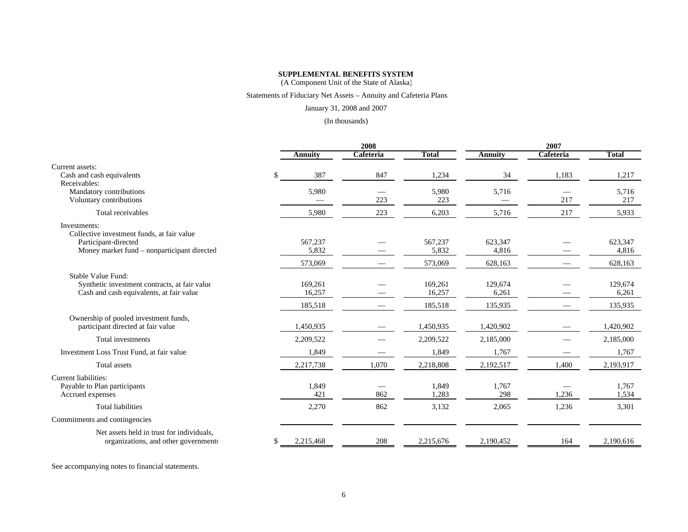#### **SUPPLEMENTAL BENEFITS SYSTEM**

(A Component Unit of the State of Alaska)

#### Statements of Fiduciary Net Assets – Annuity and Cafeteria Plans

#### January 31, 2008 and 2007

#### (In thousands)

|                     | 2008                                   |              |                                                 | 2007                                   |              |
|---------------------|----------------------------------------|--------------|-------------------------------------------------|----------------------------------------|--------------|
| <b>Annuity</b>      | Cafeteria                              | <b>Total</b> | <b>Annuity</b>                                  | Cafeteria                              | <b>Total</b> |
|                     |                                        |              |                                                 |                                        |              |
| $\mathbb{S}$<br>387 | 847                                    | 1,234        | 34                                              | 1,183                                  | 1,217        |
|                     |                                        |              |                                                 |                                        |              |
|                     |                                        |              |                                                 |                                        | 5,716        |
|                     |                                        |              |                                                 |                                        | 217          |
| 5,980               | 223                                    | 6,203        | 5,716                                           | 217                                    | 5,933        |
|                     |                                        |              |                                                 |                                        |              |
| 567,237             |                                        | 567,237      | 623,347                                         |                                        | 623,347      |
| 5,832               |                                        | 5,832        | 4,816                                           |                                        | 4,816        |
| 573,069             |                                        | 573,069      | 628,163                                         |                                        | 628,163      |
|                     |                                        |              |                                                 |                                        |              |
| 169,261             |                                        | 169,261      | 129,674                                         |                                        | 129,674      |
| 16,257              |                                        | 16,257       | 6,261                                           |                                        | 6,261        |
| 185,518             |                                        | 185,518      | 135,935                                         |                                        | 135,935      |
|                     |                                        |              |                                                 |                                        | 1,420,902    |
|                     |                                        |              |                                                 |                                        |              |
|                     |                                        |              |                                                 |                                        | 2,185,000    |
| 1,849               |                                        | 1,849        | 1,767                                           |                                        | 1,767        |
| 2,217,738           | 1,070                                  | 2,218,808    | 2,192,517                                       | 1,400                                  | 2,193,917    |
|                     |                                        |              |                                                 |                                        |              |
| 1,849               |                                        | 1,849        | 1,767                                           |                                        | 1,767        |
|                     |                                        |              |                                                 |                                        | 1,534        |
| 2,270               | 862                                    | 3,132        | 2,065                                           | 1,236                                  | 3,301        |
|                     |                                        |              |                                                 |                                        |              |
| \$<br>2,215,468     | 208                                    | 2,215,676    | 2,190,452                                       | 164                                    | 2,190,616    |
|                     | 5,980<br>1,450,935<br>2,209,522<br>421 | 223<br>862   | 5,980<br>223<br>1,450,935<br>2,209,522<br>1,283 | 5,716<br>1,420,902<br>2,185,000<br>298 | 217<br>1,236 |

See accompanying notes to financial statements.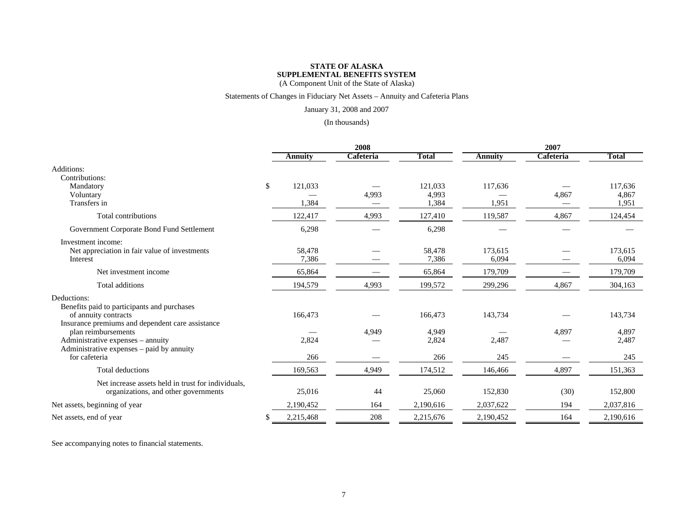#### Statements of Changes in Fiduciary Net Assets – Annuity and Cafeteria Plans

January 31, 2008 and 2007

#### (In thousands)

|                                                                                                                                                           |    |                  | 2008      |                           |                  | 2007      |                           |
|-----------------------------------------------------------------------------------------------------------------------------------------------------------|----|------------------|-----------|---------------------------|------------------|-----------|---------------------------|
|                                                                                                                                                           |    | Annuity          | Cafeteria | <b>Total</b>              | <b>Annuity</b>   | Cafeteria | <b>Total</b>              |
| Additions:<br>Contributions:                                                                                                                              |    |                  |           |                           |                  |           |                           |
| Mandatory<br>Voluntary<br>Transfers in                                                                                                                    | \$ | 121,033<br>1,384 | 4,993     | 121,033<br>4,993<br>1,384 | 117,636<br>1,951 | 4,867     | 117,636<br>4,867<br>1,951 |
| Total contributions                                                                                                                                       |    | 122,417          | 4,993     | 127,410                   | 119,587          | 4,867     | 124,454                   |
| Government Corporate Bond Fund Settlement                                                                                                                 |    | 6,298            |           | 6,298                     |                  |           |                           |
| Investment income:<br>Net appreciation in fair value of investments<br>Interest                                                                           |    | 58,478<br>7,386  |           | 58,478<br>7,386           | 173,615<br>6,094 |           | 173,615<br>6,094          |
| Net investment income                                                                                                                                     |    | 65,864           |           | 65,864                    | 179,709          |           | 179,709                   |
| Total additions                                                                                                                                           |    | 194,579          | 4,993     | 199,572                   | 299,296          | 4,867     | 304,163                   |
| Deductions:<br>Benefits paid to participants and purchases<br>of annuity contracts                                                                        |    | 166,473          |           | 166,473                   | 143,734          |           | 143,734                   |
| Insurance premiums and dependent care assistance<br>plan reimbursements<br>Administrative expenses – annuity<br>Administrative expenses – paid by annuity |    | 2,824            | 4,949     | 4,949<br>2,824            | 2,487            | 4.897     | 4,897<br>2,487            |
| for cafeteria                                                                                                                                             |    | 266              |           | 266                       | 245              |           | 245                       |
| Total deductions                                                                                                                                          |    | 169,563          | 4,949     | 174,512                   | 146,466          | 4,897     | 151,363                   |
| Net increase assets held in trust for individuals,<br>organizations, and other governments                                                                |    | 25,016           | 44        | 25,060                    | 152,830          | (30)      | 152,800                   |
| Net assets, beginning of year                                                                                                                             |    | 2,190,452        | 164       | 2,190,616                 | 2,037,622        | 194       | 2,037,816                 |
| Net assets, end of year                                                                                                                                   | S  | 2,215,468        | 208       | 2,215,676                 | 2,190,452        | 164       | 2,190,616                 |

See accompanying notes to financial statements.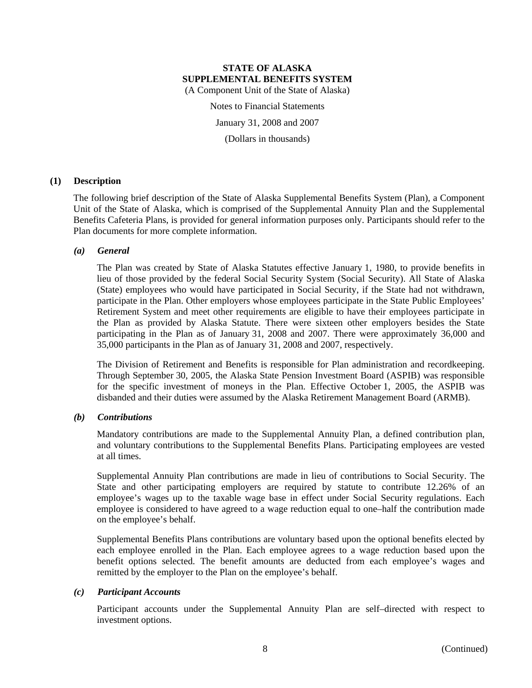Notes to Financial Statements

January 31, 2008 and 2007

(Dollars in thousands)

#### **(1) Description**

The following brief description of the State of Alaska Supplemental Benefits System (Plan), a Component Unit of the State of Alaska, which is comprised of the Supplemental Annuity Plan and the Supplemental Benefits Cafeteria Plans, is provided for general information purposes only. Participants should refer to the Plan documents for more complete information.

#### *(a) General*

The Plan was created by State of Alaska Statutes effective January 1, 1980, to provide benefits in lieu of those provided by the federal Social Security System (Social Security). All State of Alaska (State) employees who would have participated in Social Security, if the State had not withdrawn, participate in the Plan. Other employers whose employees participate in the State Public Employees' Retirement System and meet other requirements are eligible to have their employees participate in the Plan as provided by Alaska Statute. There were sixteen other employers besides the State participating in the Plan as of January 31, 2008 and 2007. There were approximately 36,000 and 35,000 participants in the Plan as of January 31, 2008 and 2007, respectively.

The Division of Retirement and Benefits is responsible for Plan administration and recordkeeping. Through September 30, 2005, the Alaska State Pension Investment Board (ASPIB) was responsible for the specific investment of moneys in the Plan. Effective October 1, 2005, the ASPIB was disbanded and their duties were assumed by the Alaska Retirement Management Board (ARMB).

#### *(b) Contributions*

Mandatory contributions are made to the Supplemental Annuity Plan, a defined contribution plan, and voluntary contributions to the Supplemental Benefits Plans. Participating employees are vested at all times.

Supplemental Annuity Plan contributions are made in lieu of contributions to Social Security. The State and other participating employers are required by statute to contribute 12.26% of an employee's wages up to the taxable wage base in effect under Social Security regulations. Each employee is considered to have agreed to a wage reduction equal to one–half the contribution made on the employee's behalf.

Supplemental Benefits Plans contributions are voluntary based upon the optional benefits elected by each employee enrolled in the Plan. Each employee agrees to a wage reduction based upon the benefit options selected. The benefit amounts are deducted from each employee's wages and remitted by the employer to the Plan on the employee's behalf.

#### *(c) Participant Accounts*

Participant accounts under the Supplemental Annuity Plan are self–directed with respect to investment options.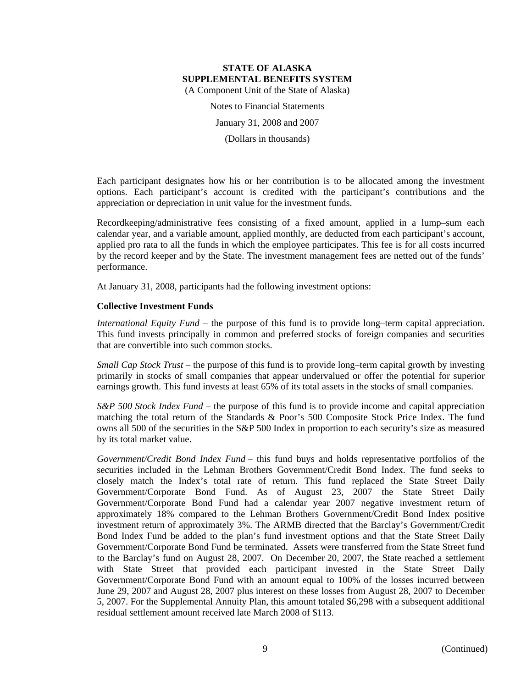Notes to Financial Statements

January 31, 2008 and 2007

(Dollars in thousands)

Each participant designates how his or her contribution is to be allocated among the investment options. Each participant's account is credited with the participant's contributions and the appreciation or depreciation in unit value for the investment funds.

Recordkeeping/administrative fees consisting of a fixed amount, applied in a lump–sum each calendar year, and a variable amount, applied monthly, are deducted from each participant's account, applied pro rata to all the funds in which the employee participates. This fee is for all costs incurred by the record keeper and by the State. The investment management fees are netted out of the funds' performance.

At January 31, 2008, participants had the following investment options:

### **Collective Investment Funds**

*International Equity Fund* – the purpose of this fund is to provide long–term capital appreciation. This fund invests principally in common and preferred stocks of foreign companies and securities that are convertible into such common stocks.

*Small Cap Stock Trust* – the purpose of this fund is to provide long–term capital growth by investing primarily in stocks of small companies that appear undervalued or offer the potential for superior earnings growth. This fund invests at least 65% of its total assets in the stocks of small companies.

*S&P 500 Stock Index Fund* – the purpose of this fund is to provide income and capital appreciation matching the total return of the Standards & Poor's 500 Composite Stock Price Index. The fund owns all 500 of the securities in the S&P 500 Index in proportion to each security's size as measured by its total market value.

*Government/Credit Bond Index Fund* – this fund buys and holds representative portfolios of the securities included in the Lehman Brothers Government/Credit Bond Index. The fund seeks to closely match the Index's total rate of return. This fund replaced the State Street Daily Government/Corporate Bond Fund. As of August 23, 2007 the State Street Daily Government/Corporate Bond Fund had a calendar year 2007 negative investment return of approximately 18% compared to the Lehman Brothers Government/Credit Bond Index positive investment return of approximately 3%. The ARMB directed that the Barclay's Government/Credit Bond Index Fund be added to the plan's fund investment options and that the State Street Daily Government/Corporate Bond Fund be terminated. Assets were transferred from the State Street fund to the Barclay's fund on August 28, 2007. On December 20, 2007, the State reached a settlement with State Street that provided each participant invested in the State Street Daily Government/Corporate Bond Fund with an amount equal to 100% of the losses incurred between June 29, 2007 and August 28, 2007 plus interest on these losses from August 28, 2007 to December 5, 2007. For the Supplemental Annuity Plan, this amount totaled \$6,298 with a subsequent additional residual settlement amount received late March 2008 of \$113.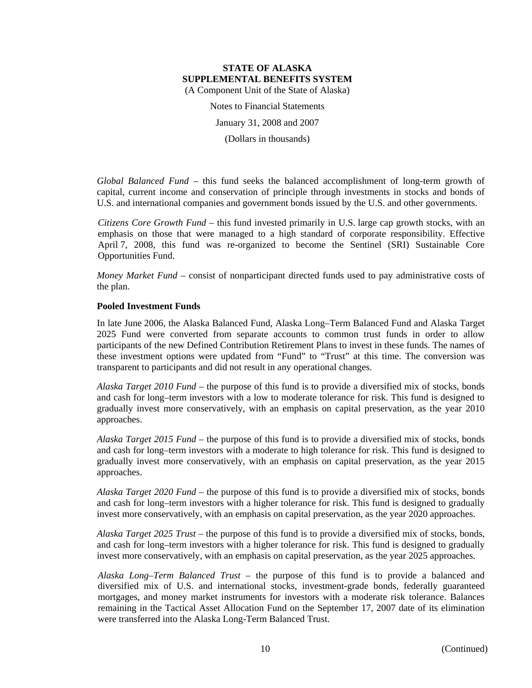Notes to Financial Statements

January 31, 2008 and 2007

(Dollars in thousands)

*Global Balanced Fund* – this fund seeks the balanced accomplishment of long-term growth of capital, current income and conservation of principle through investments in stocks and bonds of U.S. and international companies and government bonds issued by the U.S. and other governments.

*Citizens Core Growth Fund* – this fund invested primarily in U.S. large cap growth stocks, with an emphasis on those that were managed to a high standard of corporate responsibility. Effective April 7, 2008, this fund was re-organized to become the Sentinel (SRI) Sustainable Core Opportunities Fund.

*Money Market Fund* – consist of nonparticipant directed funds used to pay administrative costs of the plan.

#### **Pooled Investment Funds**

In late June 2006, the Alaska Balanced Fund, Alaska Long–Term Balanced Fund and Alaska Target 2025 Fund were converted from separate accounts to common trust funds in order to allow participants of the new Defined Contribution Retirement Plans to invest in these funds. The names of these investment options were updated from "Fund" to "Trust" at this time. The conversion was transparent to participants and did not result in any operational changes.

*Alaska Target 2010 Fund* – the purpose of this fund is to provide a diversified mix of stocks, bonds and cash for long–term investors with a low to moderate tolerance for risk. This fund is designed to gradually invest more conservatively, with an emphasis on capital preservation, as the year 2010 approaches.

*Alaska Target 2015 Fund* – the purpose of this fund is to provide a diversified mix of stocks, bonds and cash for long–term investors with a moderate to high tolerance for risk. This fund is designed to gradually invest more conservatively, with an emphasis on capital preservation, as the year 2015 approaches.

*Alaska Target 2020 Fund* – the purpose of this fund is to provide a diversified mix of stocks, bonds and cash for long–term investors with a higher tolerance for risk. This fund is designed to gradually invest more conservatively, with an emphasis on capital preservation, as the year 2020 approaches.

*Alaska Target 2025 Trust* – the purpose of this fund is to provide a diversified mix of stocks, bonds, and cash for long–term investors with a higher tolerance for risk. This fund is designed to gradually invest more conservatively, with an emphasis on capital preservation, as the year 2025 approaches.

*Alaska Long–Term Balanced Trust* – the purpose of this fund is to provide a balanced and diversified mix of U.S. and international stocks, investment-grade bonds, federally guaranteed mortgages, and money market instruments for investors with a moderate risk tolerance. Balances remaining in the Tactical Asset Allocation Fund on the September 17, 2007 date of its elimination were transferred into the Alaska Long-Term Balanced Trust.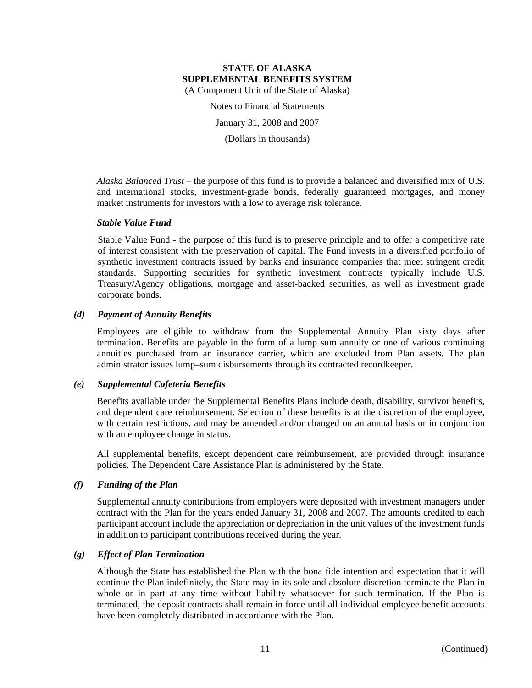Notes to Financial Statements

January 31, 2008 and 2007

(Dollars in thousands)

*Alaska Balanced Trust* – the purpose of this fund is to provide a balanced and diversified mix of U.S. and international stocks, investment-grade bonds, federally guaranteed mortgages, and money market instruments for investors with a low to average risk tolerance.

#### *Stable Value Fund*

Stable Value Fund - the purpose of this fund is to preserve principle and to offer a competitive rate of interest consistent with the preservation of capital. The Fund invests in a diversified portfolio of synthetic investment contracts issued by banks and insurance companies that meet stringent credit standards. Supporting securities for synthetic investment contracts typically include U.S. Treasury/Agency obligations, mortgage and asset-backed securities, as well as investment grade corporate bonds.

#### *(d) Payment of Annuity Benefits*

Employees are eligible to withdraw from the Supplemental Annuity Plan sixty days after termination. Benefits are payable in the form of a lump sum annuity or one of various continuing annuities purchased from an insurance carrier, which are excluded from Plan assets. The plan administrator issues lump–sum disbursements through its contracted recordkeeper.

#### *(e) Supplemental Cafeteria Benefits*

Benefits available under the Supplemental Benefits Plans include death, disability, survivor benefits, and dependent care reimbursement. Selection of these benefits is at the discretion of the employee, with certain restrictions, and may be amended and/or changed on an annual basis or in conjunction with an employee change in status.

All supplemental benefits, except dependent care reimbursement, are provided through insurance policies. The Dependent Care Assistance Plan is administered by the State.

#### *(f) Funding of the Plan*

Supplemental annuity contributions from employers were deposited with investment managers under contract with the Plan for the years ended January 31, 2008 and 2007. The amounts credited to each participant account include the appreciation or depreciation in the unit values of the investment funds in addition to participant contributions received during the year.

#### *(g) Effect of Plan Termination*

Although the State has established the Plan with the bona fide intention and expectation that it will continue the Plan indefinitely, the State may in its sole and absolute discretion terminate the Plan in whole or in part at any time without liability whatsoever for such termination. If the Plan is terminated, the deposit contracts shall remain in force until all individual employee benefit accounts have been completely distributed in accordance with the Plan.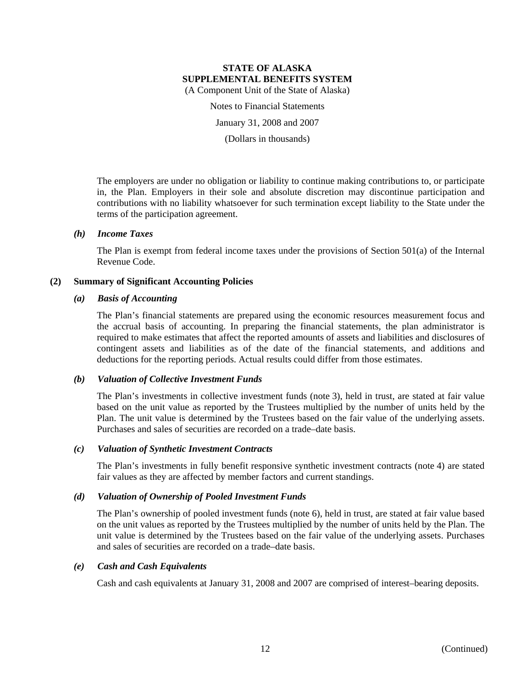Notes to Financial Statements

January 31, 2008 and 2007

(Dollars in thousands)

The employers are under no obligation or liability to continue making contributions to, or participate in, the Plan. Employers in their sole and absolute discretion may discontinue participation and contributions with no liability whatsoever for such termination except liability to the State under the terms of the participation agreement.

#### *(h) Income Taxes*

The Plan is exempt from federal income taxes under the provisions of Section 501(a) of the Internal Revenue Code.

#### **(2) Summary of Significant Accounting Policies**

#### *(a) Basis of Accounting*

The Plan's financial statements are prepared using the economic resources measurement focus and the accrual basis of accounting. In preparing the financial statements, the plan administrator is required to make estimates that affect the reported amounts of assets and liabilities and disclosures of contingent assets and liabilities as of the date of the financial statements, and additions and deductions for the reporting periods. Actual results could differ from those estimates.

#### *(b) Valuation of Collective Investment Funds*

The Plan's investments in collective investment funds (note 3), held in trust, are stated at fair value based on the unit value as reported by the Trustees multiplied by the number of units held by the Plan. The unit value is determined by the Trustees based on the fair value of the underlying assets. Purchases and sales of securities are recorded on a trade–date basis.

#### *(c) Valuation of Synthetic Investment Contracts*

The Plan's investments in fully benefit responsive synthetic investment contracts (note 4) are stated fair values as they are affected by member factors and current standings.

#### *(d) Valuation of Ownership of Pooled Investment Funds*

The Plan's ownership of pooled investment funds (note 6), held in trust, are stated at fair value based on the unit values as reported by the Trustees multiplied by the number of units held by the Plan. The unit value is determined by the Trustees based on the fair value of the underlying assets. Purchases and sales of securities are recorded on a trade–date basis.

#### *(e) Cash and Cash Equivalents*

Cash and cash equivalents at January 31, 2008 and 2007 are comprised of interest–bearing deposits.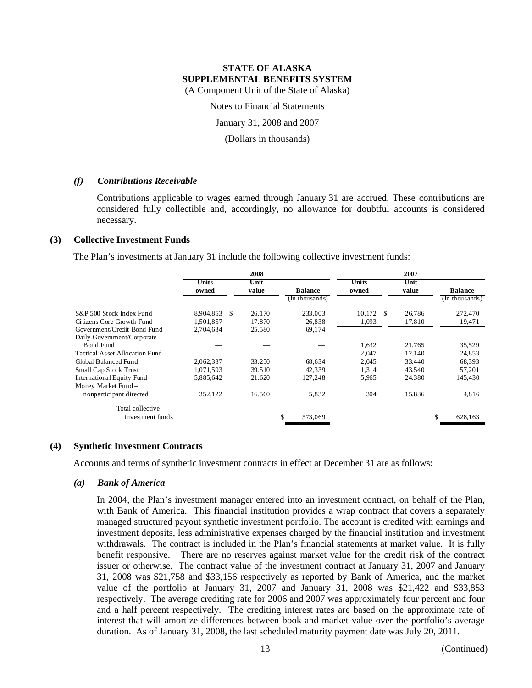Notes to Financial Statements

January 31, 2008 and 2007

(Dollars in thousands)

#### *(f) Contributions Receivable*

Contributions applicable to wages earned through January 31 are accrued. These contributions are considered fully collectible and, accordingly, no allowance for doubtful accounts is considered necessary.

#### **(3) Collective Investment Funds**

The Plan's investments at January 31 include the following collective investment funds:

|                                       |           |               | 2008   |                | 2007         |        |    |                |  |  |
|---------------------------------------|-----------|---------------|--------|----------------|--------------|--------|----|----------------|--|--|
|                                       | Units     |               | Unit   |                | Units        | Unit   |    |                |  |  |
|                                       | owned     |               | value  | <b>Balance</b> | owned        | value  |    | <b>Balance</b> |  |  |
|                                       |           |               |        | (In thousands) |              |        |    | (In thousands) |  |  |
| S&P 500 Stock Index Fund              | 8,904,853 | <sup>\$</sup> | 26.170 | 233,003        | 10,172<br>-S | 26.786 |    | 272,470        |  |  |
| Citizens Core Growth Fund             | 1.501.857 |               | 17.870 | 26,838         | 1,093        | 17.810 |    | 19,471         |  |  |
| Government/Credit Bond Fund           | 2,704,634 |               | 25.580 | 69,174         |              |        |    |                |  |  |
| Daily Government/Corporate            |           |               |        |                |              |        |    |                |  |  |
| Bond Fund                             |           |               |        |                | 1,632        | 21.765 |    | 35,529         |  |  |
| <b>Tactical Asset Allocation Fund</b> |           |               |        |                | 2,047        | 12.140 |    | 24,853         |  |  |
| Global Balanced Fund                  | 2,062,337 |               | 33.250 | 68,634         | 2,045        | 33.440 |    | 68,393         |  |  |
| Small Cap Stock Trust                 | 1,071,593 |               | 39.510 | 42.339         | 1,314        | 43.540 |    | 57,201         |  |  |
| International Equity Fund             | 5,885,642 |               | 21.620 | 127,248        | 5.965        | 24.380 |    | 145,430        |  |  |
| Money Market Fund -                   |           |               |        |                |              |        |    |                |  |  |
| nonparticipant directed               | 352,122   |               | 16.560 | 5,832          | 304          | 15.836 |    | 4,816          |  |  |
| Total collective                      |           |               |        |                |              |        |    |                |  |  |
| investment funds                      |           |               |        | \$<br>573,069  |              |        | \$ | 628,163        |  |  |

#### **(4) Synthetic Investment Contracts**

Accounts and terms of synthetic investment contracts in effect at December 31 are as follows:

#### *(a) Bank of America*

In 2004, the Plan's investment manager entered into an investment contract, on behalf of the Plan, with Bank of America. This financial institution provides a wrap contract that covers a separately managed structured payout synthetic investment portfolio. The account is credited with earnings and investment deposits, less administrative expenses charged by the financial institution and investment withdrawals. The contract is included in the Plan's financial statements at market value. It is fully benefit responsive. There are no reserves against market value for the credit risk of the contract issuer or otherwise. The contract value of the investment contract at January 31, 2007 and January 31, 2008 was \$21,758 and \$33,156 respectively as reported by Bank of America, and the market value of the portfolio at January 31, 2007 and January 31, 2008 was \$21,422 and \$33,853 respectively. The average crediting rate for 2006 and 2007 was approximately four percent and four and a half percent respectively. The crediting interest rates are based on the approximate rate of interest that will amortize differences between book and market value over the portfolio's average duration. As of January 31, 2008, the last scheduled maturity payment date was July 20, 2011.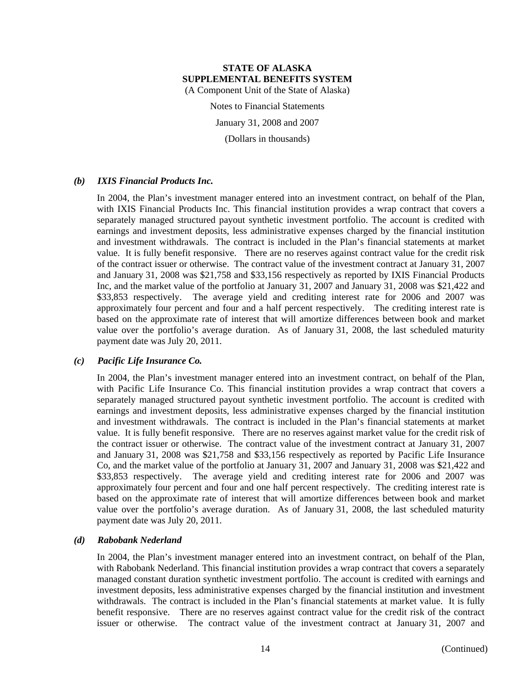Notes to Financial Statements

January 31, 2008 and 2007

(Dollars in thousands)

#### *(b) IXIS Financial Products Inc.*

In 2004, the Plan's investment manager entered into an investment contract, on behalf of the Plan, with IXIS Financial Products Inc. This financial institution provides a wrap contract that covers a separately managed structured payout synthetic investment portfolio. The account is credited with earnings and investment deposits, less administrative expenses charged by the financial institution and investment withdrawals. The contract is included in the Plan's financial statements at market value. It is fully benefit responsive. There are no reserves against contract value for the credit risk of the contract issuer or otherwise. The contract value of the investment contract at January 31, 2007 and January 31, 2008 was \$21,758 and \$33,156 respectively as reported by IXIS Financial Products Inc, and the market value of the portfolio at January 31, 2007 and January 31, 2008 was \$21,422 and \$33,853 respectively. The average yield and crediting interest rate for 2006 and 2007 was approximately four percent and four and a half percent respectively. The crediting interest rate is based on the approximate rate of interest that will amortize differences between book and market value over the portfolio's average duration. As of January 31, 2008, the last scheduled maturity payment date was July 20, 2011.

#### *(c) Pacific Life Insurance Co.*

In 2004, the Plan's investment manager entered into an investment contract, on behalf of the Plan, with Pacific Life Insurance Co. This financial institution provides a wrap contract that covers a separately managed structured payout synthetic investment portfolio. The account is credited with earnings and investment deposits, less administrative expenses charged by the financial institution and investment withdrawals. The contract is included in the Plan's financial statements at market value. It is fully benefit responsive. There are no reserves against market value for the credit risk of the contract issuer or otherwise. The contract value of the investment contract at January 31, 2007 and January 31, 2008 was \$21,758 and \$33,156 respectively as reported by Pacific Life Insurance Co, and the market value of the portfolio at January 31, 2007 and January 31, 2008 was \$21,422 and \$33,853 respectively. The average yield and crediting interest rate for 2006 and 2007 was approximately four percent and four and one half percent respectively. The crediting interest rate is based on the approximate rate of interest that will amortize differences between book and market value over the portfolio's average duration. As of January 31, 2008, the last scheduled maturity payment date was July 20, 2011.

#### *(d) Rabobank Nederland*

In 2004, the Plan's investment manager entered into an investment contract, on behalf of the Plan, with Rabobank Nederland. This financial institution provides a wrap contract that covers a separately managed constant duration synthetic investment portfolio. The account is credited with earnings and investment deposits, less administrative expenses charged by the financial institution and investment withdrawals. The contract is included in the Plan's financial statements at market value. It is fully benefit responsive. There are no reserves against contract value for the credit risk of the contract issuer or otherwise. The contract value of the investment contract at January 31, 2007 and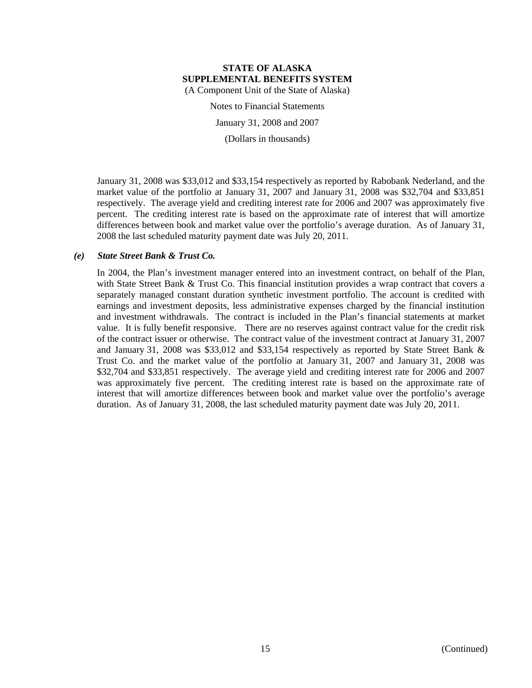Notes to Financial Statements

January 31, 2008 and 2007

(Dollars in thousands)

January 31, 2008 was \$33,012 and \$33,154 respectively as reported by Rabobank Nederland, and the market value of the portfolio at January 31, 2007 and January 31, 2008 was \$32,704 and \$33,851 respectively. The average yield and crediting interest rate for 2006 and 2007 was approximately five percent. The crediting interest rate is based on the approximate rate of interest that will amortize differences between book and market value over the portfolio's average duration. As of January 31, 2008 the last scheduled maturity payment date was July 20, 2011.

#### *(e) State Street Bank & Trust Co.*

In 2004, the Plan's investment manager entered into an investment contract, on behalf of the Plan, with State Street Bank & Trust Co. This financial institution provides a wrap contract that covers a separately managed constant duration synthetic investment portfolio. The account is credited with earnings and investment deposits, less administrative expenses charged by the financial institution and investment withdrawals. The contract is included in the Plan's financial statements at market value. It is fully benefit responsive. There are no reserves against contract value for the credit risk of the contract issuer or otherwise. The contract value of the investment contract at January 31, 2007 and January 31, 2008 was \$33,012 and \$33,154 respectively as reported by State Street Bank & Trust Co. and the market value of the portfolio at January 31, 2007 and January 31, 2008 was \$32,704 and \$33,851 respectively. The average yield and crediting interest rate for 2006 and 2007 was approximately five percent. The crediting interest rate is based on the approximate rate of interest that will amortize differences between book and market value over the portfolio's average duration. As of January 31, 2008, the last scheduled maturity payment date was July 20, 2011.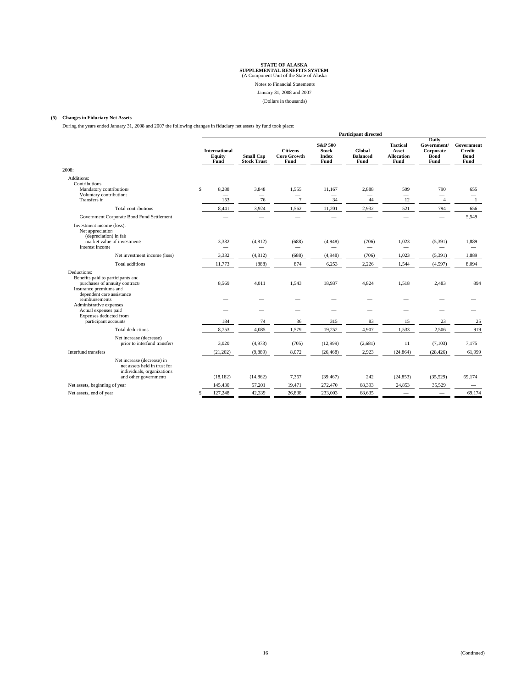Notes to Financial Statements

January 31, 2008 and 2007

(Dollars in thousands)

#### **(5) Changes in Fiduciary Net Assets**

During the years ended January 31, 2008 and 2007 the following changes in fiduciary net assets by fund took place:

|                                                                                                                                           |                                                |                                         |                                                     |                                                            | <b>Participant directed</b>             |                                                       |                                                          |                                                    |
|-------------------------------------------------------------------------------------------------------------------------------------------|------------------------------------------------|-----------------------------------------|-----------------------------------------------------|------------------------------------------------------------|-----------------------------------------|-------------------------------------------------------|----------------------------------------------------------|----------------------------------------------------|
|                                                                                                                                           | <b>International</b><br>Equity<br>Fund         | <b>Small Cap</b><br><b>Stock Trust</b>  | <b>Citizens</b><br><b>Core Growth</b><br>Fund       | <b>S&amp;P 500</b><br><b>Stock</b><br><b>Index</b><br>Fund | Global<br><b>Balanced</b><br>Fund       | <b>Tactical</b><br>Asset<br><b>Allocation</b><br>Fund | Daily<br>Government/<br>Corporate<br><b>Bond</b><br>Fund | Government<br><b>Credit</b><br><b>Bond</b><br>Fund |
| 2008:                                                                                                                                     |                                                |                                         |                                                     |                                                            |                                         |                                                       |                                                          |                                                    |
| Additions:<br>Contributions:<br>Mandatory contributions<br>Voluntary contribution:<br>Transfers in                                        | \$<br>8,288<br>$\overline{\phantom{m}}$<br>153 | 3,848<br>$\overline{\phantom{0}}$<br>76 | 1,555<br>$\overline{\phantom{0}}$<br>$\overline{7}$ | 11,167<br>$\overline{\phantom{m}}$<br>34                   | 2,888<br>$\overline{\phantom{0}}$<br>44 | 509<br>$\overline{\phantom{0}}$<br>12                 | 790<br>$\overline{\phantom{0}}$<br>$\overline{4}$        | 655<br>-1                                          |
| Total contributions                                                                                                                       | 8,441                                          | 3,924                                   | 1,562                                               | 11,201                                                     | 2,932                                   | 521                                                   | 794                                                      | 656                                                |
| Government Corporate Bond Fund Settlement                                                                                                 | $\overline{\phantom{a}}$                       | $\overline{\phantom{0}}$                | $\equiv$                                            | $\equiv$                                                   | $\overline{\phantom{0}}$                | $\overline{\phantom{0}}$                              | $\equiv$                                                 | 5,549                                              |
| Investment income (loss):<br>Net appreciation<br>(depreciation) in fair<br>market value of investments<br>Interest income                 | 3,332                                          | (4, 812)                                | (688)<br>$\overline{\phantom{0}}$                   | (4,948)                                                    | (706)<br>$\overline{\phantom{a}}$       | 1,023<br>$\overline{\phantom{0}}$                     | (5,391)                                                  | 1,889                                              |
| Net investment income (loss)                                                                                                              | 3,332                                          | (4, 812)                                | (688)                                               | (4,948)                                                    | (706)                                   | 1,023                                                 | (5,391)                                                  | 1,889                                              |
| <b>Total additions</b>                                                                                                                    | 11,773                                         | (888)                                   | 874                                                 | 6,253                                                      | 2,226                                   | 1,544                                                 | (4, 597)                                                 | 8,094                                              |
| Deductions:<br>Benefits paid to participants and<br>purchases of annuity contracts<br>Insurance premiums and<br>dependent care assistance | 8,569                                          | 4,011                                   | 1,543                                               | 18,937                                                     | 4,824                                   | 1,518                                                 | 2,483                                                    | 894                                                |
| reimbursements                                                                                                                            |                                                |                                         |                                                     |                                                            |                                         |                                                       |                                                          |                                                    |
| Administrative expenses<br>Actual expenses paid<br>Expenses deducted from                                                                 |                                                | -                                       | $\overline{\phantom{0}}$                            |                                                            | -                                       |                                                       |                                                          |                                                    |
| participant accounts                                                                                                                      | 184                                            | 74                                      | 36                                                  | 315                                                        | 83                                      | 15                                                    | 23                                                       | 25                                                 |
| Total deductions                                                                                                                          | 8,753                                          | 4,085                                   | 1,579                                               | 19,252                                                     | 4,907                                   | 1,533                                                 | 2,506                                                    | 919                                                |
| Net increase (decrease)<br>prior to interfund transfers                                                                                   | 3,020                                          | (4,973)                                 | (705)                                               | (12,999)                                                   | (2,681)                                 | 11                                                    | (7,103)                                                  | 7.175                                              |
| Interfund transfers                                                                                                                       | (21, 202)                                      | (9,889)                                 | 8,072                                               | (26, 468)                                                  | 2,923                                   | (24, 864)                                             | (28, 426)                                                | 61,999                                             |
| Net increase (decrease) in<br>net assets held in trust for<br>individuals, organizations<br>and other governments                         | (18, 182)                                      | (14, 862)                               | 7,367                                               | (39, 467)                                                  | 242                                     | (24, 853)                                             | (35,529)                                                 | 69,174                                             |
| Net assets, beginning of year                                                                                                             | 145,430                                        | 57,201                                  | 19,471                                              | 272,470                                                    | 68,393                                  | 24,853                                                | 35,529                                                   | $\hspace{0.1mm}-\hspace{0.1mm}$                    |
| Net assets, end of year                                                                                                                   | 127,248<br>\$                                  | 42,339                                  | 26,838                                              | 233,003                                                    | 68,635                                  |                                                       |                                                          | 69,174                                             |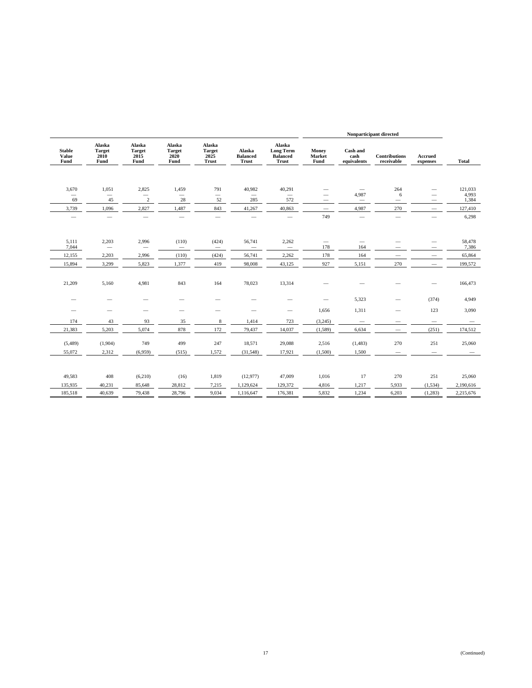|                                |                                         |                                         |                                         |                                          |                                           |                                                               | Nonparticipant directed         |                                 |                                    |                                                      |                  |
|--------------------------------|-----------------------------------------|-----------------------------------------|-----------------------------------------|------------------------------------------|-------------------------------------------|---------------------------------------------------------------|---------------------------------|---------------------------------|------------------------------------|------------------------------------------------------|------------------|
| <b>Stable</b><br>Value<br>Fund | Alaska<br><b>Target</b><br>2010<br>Fund | Alaska<br><b>Target</b><br>2015<br>Fund | Alaska<br><b>Target</b><br>2020<br>Fund | Alaska<br><b>Target</b><br>2025<br>Trust | Alaska<br><b>Balanced</b><br><b>Trust</b> | Alaska<br><b>Long Term</b><br><b>Balanced</b><br><b>Trust</b> | Money<br>Market<br>Fund         | Cash and<br>cash<br>equivalents | <b>Contributions</b><br>receivable | Accrued<br>expenses                                  | <b>Total</b>     |
|                                |                                         |                                         |                                         |                                          |                                           |                                                               |                                 |                                 |                                    |                                                      |                  |
| 3,670                          | 1,051                                   | 2,825                                   | 1,459                                   | 791                                      | 40,982                                    | 40,291                                                        |                                 | $\overline{\phantom{m}}$        | 264                                |                                                      | 121.033          |
| $\qquad \qquad$                |                                         |                                         | $\overline{\phantom{0}}$                | $\qquad \qquad -$                        | $\overline{\phantom{0}}$                  | $\overline{\phantom{m}}$                                      | $\overline{\phantom{0}}$        | 4,987                           | 6                                  | $\overline{\phantom{0}}$                             | 4,993            |
| 69<br>3,739                    | 45<br>1,096                             | $\sqrt{2}$<br>2,827                     | 28<br>1,487                             | 52<br>843                                | 285<br>41,267                             | 572<br>40,863                                                 | -                               | 4,987                           | 270                                | -                                                    | 1,384<br>127,410 |
| $\overline{\phantom{0}}$       |                                         | $\overline{\phantom{m}}$                |                                         | $\overline{\phantom{0}}$                 |                                           | $\overline{\phantom{m}}$                                      | $\overline{\phantom{m}}$<br>749 | $\overline{\phantom{m}}$        |                                    | $\overline{\phantom{m}}$<br>$\overline{\phantom{0}}$ | 6,298            |
|                                |                                         |                                         |                                         |                                          |                                           |                                                               |                                 |                                 |                                    |                                                      |                  |
|                                |                                         |                                         |                                         |                                          |                                           |                                                               |                                 |                                 |                                    |                                                      |                  |
| 5,111                          | 2,203                                   | 2,996                                   | (110)                                   | (424)                                    | 56,741                                    | 2,262                                                         | $\overline{\phantom{m}}$        | $\overline{\phantom{m}}$        |                                    |                                                      | 58,478           |
| 7,044<br>12,155                | $\overline{\phantom{m}}$<br>2,203       | 2,996                                   | $\overline{\phantom{0}}$<br>(110)       | $\overline{\phantom{0}}$<br>(424)        | $\overline{\phantom{0}}$<br>56,741        | $\overline{\phantom{m}}$<br>2,262                             | 178<br>178                      | 164<br>164                      | $\overline{\phantom{m}}$           |                                                      | 7,386<br>65,864  |
| 15,894                         | 3,299                                   | 5,823                                   | 1,377                                   | 419                                      | 98,008                                    | 43,125                                                        | 927                             | 5,151                           | 270                                |                                                      | 199,572          |
|                                |                                         |                                         |                                         |                                          |                                           |                                                               |                                 |                                 |                                    | -                                                    |                  |
|                                |                                         |                                         |                                         |                                          |                                           |                                                               |                                 |                                 |                                    |                                                      |                  |
| 21,209                         | 5,160                                   | 4,981                                   | 843                                     | 164                                      | 78,023                                    | 13,314                                                        |                                 |                                 |                                    |                                                      | 166,473          |
|                                |                                         |                                         |                                         |                                          |                                           |                                                               |                                 | 5,323                           |                                    | (374)                                                | 4,949            |
|                                |                                         | $\overline{\phantom{0}}$                | $\overline{\phantom{0}}$                | $\overline{\phantom{0}}$                 |                                           | $\qquad \qquad$                                               | 1,656                           | 1,311                           | $\overline{\phantom{0}}$           | 123                                                  | 3,090            |
| 174                            | 43                                      | 93                                      | 35                                      | $\,$ 8 $\,$                              | 1,414                                     | 723                                                           | (3,245)                         | $\overline{\phantom{m}}$        |                                    | $\overline{\phantom{m}}$                             |                  |
| 21,383                         | 5,203                                   | 5,074                                   | 878                                     | 172                                      | 79,437                                    | 14,037                                                        | (1, 589)                        | 6,634                           |                                    | (251)                                                | 174,512          |
|                                |                                         |                                         |                                         |                                          |                                           |                                                               |                                 |                                 |                                    |                                                      |                  |
| (5,489)                        | (1,904)                                 | 749                                     | 499                                     | 247                                      | 18,571                                    | 29,088                                                        | 2,516                           | (1,483)                         | 270                                | 251                                                  | 25,060           |
| 55,072                         | 2,312                                   | (6,959)                                 | (515)                                   | 1,572                                    | (31, 548)                                 | 17,921                                                        | (1,500)                         | 1,500                           | $\overline{\phantom{m}}$           | $\overline{\phantom{a}}$                             |                  |
|                                |                                         |                                         |                                         |                                          |                                           |                                                               |                                 |                                 |                                    |                                                      |                  |
| 49,583                         | 408                                     | (6,210)                                 | (16)                                    | 1,819                                    | (12, 977)                                 | 47,009                                                        | 1,016                           | 17                              | 270                                | 251                                                  | 25,060           |
| 135,935                        | 40,231                                  | 85,648                                  | 28,812                                  | 7,215                                    | 1,129,624                                 | 129,372                                                       | 4,816                           | 1,217                           | 5,933                              | (1,534)                                              | 2,190,616        |
| 185,518                        | 40,639                                  | 79,438                                  | 28,796                                  | 9,034                                    | 1,116,647                                 | 176,381                                                       | 5,832                           | 1,234                           | 6,203                              | (1,283)                                              | 2,215,676        |
|                                |                                         |                                         |                                         |                                          |                                           |                                                               |                                 |                                 |                                    |                                                      |                  |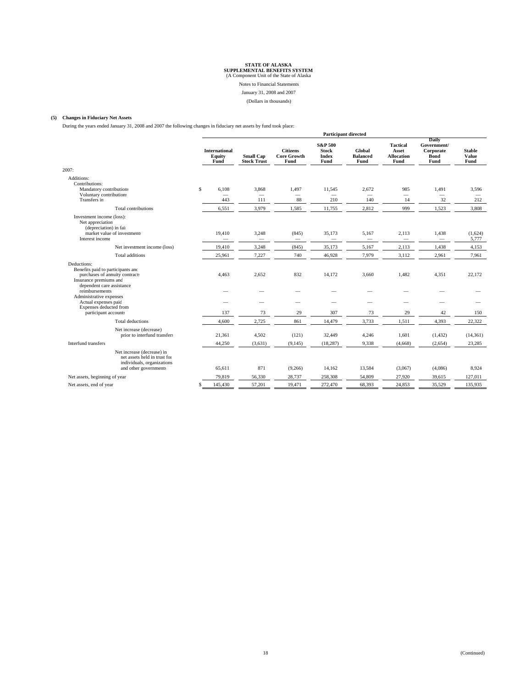Notes to Financial Statements

January 31, 2008 and 2007

(Dollars in thousands)

#### **(5) Changes in Fiduciary Net Assets**

During the years ended January 31, 2008 and 2007 the following changes in fiduciary net assets by fund took place:

|                                                                                                                                           |                                                | <b>Participant directed</b>            |                                               |                                                            |                                          |                                                       |                                                          |                                          |  |  |
|-------------------------------------------------------------------------------------------------------------------------------------------|------------------------------------------------|----------------------------------------|-----------------------------------------------|------------------------------------------------------------|------------------------------------------|-------------------------------------------------------|----------------------------------------------------------|------------------------------------------|--|--|
|                                                                                                                                           | <b>International</b><br>Equity<br>Fund         | <b>Small Cap</b><br><b>Stock Trust</b> | <b>Citizens</b><br><b>Core Growth</b><br>Fund | <b>S&amp;P 500</b><br><b>Stock</b><br><b>Index</b><br>Fund | Global<br><b>Balanced</b><br>Fund        | <b>Tactical</b><br>Asset<br><b>Allocation</b><br>Fund | Daily<br>Government/<br>Corporate<br><b>Bond</b><br>Fund | <b>Stable</b><br><b>Value</b><br>Fund    |  |  |
| 2007:                                                                                                                                     |                                                |                                        |                                               |                                                            |                                          |                                                       |                                                          |                                          |  |  |
| Additions:<br>Contributions:<br>Mandatory contribution:<br>Voluntary contribution:<br>Transfers in                                        | \$<br>6,108<br>$\overline{\phantom{0}}$<br>443 | 3,868<br>111                           | 1,497<br>$\overline{\phantom{0}}$<br>88       | 11,545<br>$\overline{\phantom{0}}$<br>210                  | 2,672<br>$\overline{\phantom{0}}$<br>140 | 985<br>14                                             | 1,491<br>$\overline{\phantom{0}}$<br>32                  | 3,596<br>$\overline{\phantom{0}}$<br>212 |  |  |
| <b>Total contributions</b>                                                                                                                | 6,551                                          | 3,979                                  | 1,585                                         | 11,755                                                     | 2,812                                    | 999                                                   | 1,523                                                    | 3,808                                    |  |  |
| Investment income (loss):<br>Net appreciation<br>(depreciation) in fair<br>market value of investments<br>Interest income                 | 19,410                                         | 3,248<br>$\overline{\phantom{0}}$      | (845)<br>$\overline{\phantom{m}}$             | 35,173                                                     | 5,167                                    | 2,113                                                 | 1,438                                                    | (1,624)<br>5,777                         |  |  |
| Net investment income (loss)                                                                                                              | 19,410                                         | 3,248                                  | (845)                                         | 35,173                                                     | 5,167                                    | 2,113                                                 | 1,438                                                    | 4,153                                    |  |  |
| <b>Total additions</b>                                                                                                                    | 25,961                                         | 7,227                                  | 740                                           | 46,928                                                     | 7,979                                    | 3,112                                                 | 2,961                                                    | 7,961                                    |  |  |
| Deductions:<br>Benefits paid to participants and<br>purchases of annuity contracts<br>Insurance premiums and<br>dependent care assistance | 4,463                                          | 2,652                                  | 832                                           | 14,172                                                     | 3,660                                    | 1,482                                                 | 4,351                                                    | 22,172                                   |  |  |
| reimbursements                                                                                                                            |                                                |                                        |                                               |                                                            |                                          |                                                       |                                                          |                                          |  |  |
| Administrative expenses<br>Actual expenses paid<br>Expenses deducted from<br>participant accounts                                         | 137                                            | 73                                     | 29                                            | 307                                                        | 73                                       | 29                                                    | 42                                                       | 150                                      |  |  |
| <b>Total deductions</b>                                                                                                                   | 4,600                                          | 2,725                                  | 861                                           | 14,479                                                     | 3,733                                    | 1,511                                                 | 4,393                                                    | 22,322                                   |  |  |
| Net increase (decrease)<br>prior to interfund transfers                                                                                   | 21,361                                         | 4,502                                  | (121)                                         | 32,449                                                     | 4,246                                    | 1,601                                                 | (1, 432)                                                 | (14, 361)                                |  |  |
| Interfund transfers                                                                                                                       | 44,250                                         | (3,631)                                | (9, 145)                                      | (18, 287)                                                  | 9,338                                    | (4,668)                                               | (2,654)                                                  | 23,285                                   |  |  |
| Net increase (decrease) in<br>net assets held in trust for<br>individuals, organizations<br>and other governments                         | 65,611                                         | 871                                    | (9,266)                                       | 14,162                                                     | 13,584                                   | (3,067)                                               | (4,086)                                                  | 8,924                                    |  |  |
| Net assets, beginning of year                                                                                                             | 79,819                                         | 56,330                                 | 28,737                                        | 258,308                                                    | 54,809                                   | 27,920                                                | 39,615                                                   | 127,011                                  |  |  |
| Net assets, end of year                                                                                                                   | 145,430<br>\$                                  | 57,201                                 | 19,471                                        | 272,470                                                    | 68,393                                   | 24,853                                                | 35,529                                                   | 135,935                                  |  |  |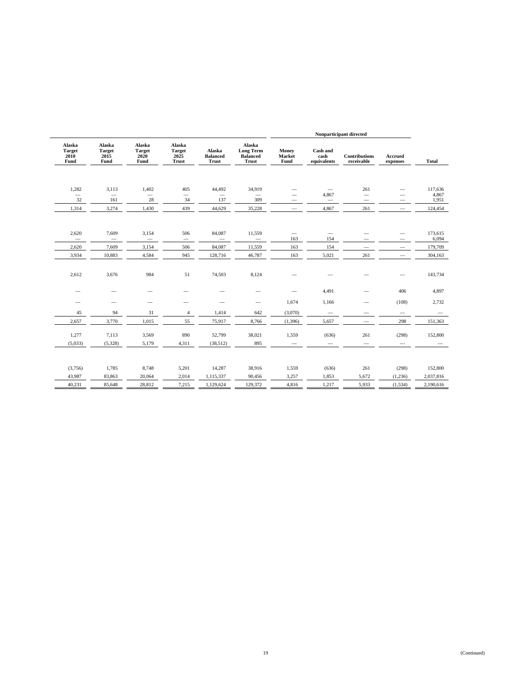|                                         |                                         |                                         |                                                 |                                    |                                                               | Nonparticipant directed         |                                 |                                    |                          |                  |
|-----------------------------------------|-----------------------------------------|-----------------------------------------|-------------------------------------------------|------------------------------------|---------------------------------------------------------------|---------------------------------|---------------------------------|------------------------------------|--------------------------|------------------|
| Alaska<br><b>Target</b><br>2010<br>Fund | Alaska<br><b>Target</b><br>2015<br>Fund | Alaska<br><b>Target</b><br>2020<br>Fund | Alaska<br><b>Target</b><br>2025<br><b>Trust</b> | Alaska<br><b>Balanced</b><br>Trust | Alaska<br><b>Long Term</b><br><b>Balanced</b><br><b>Trust</b> | Money<br>Market<br>Fund         | Cash and<br>cash<br>equivalents | <b>Contributions</b><br>receivable | Accrued<br>expenses      | <b>Total</b>     |
| 1,282<br>$\overline{\phantom{0}}$       | 3,113<br>$\overline{\phantom{0}}$       | 1,402                                   | 405<br>$\qquad \qquad$                          | 44,492                             | 34,919                                                        | $\overline{\phantom{0}}$        | 4,867                           | 261<br>$\overline{\phantom{m}}$    | $\overline{\phantom{0}}$ | 117,636<br>4,867 |
| 32                                      | 161                                     | 28                                      | 34                                              | 137                                | 309                                                           | —                               |                                 |                                    |                          | 1,951            |
| 1,314                                   | 3,274                                   | 1,430                                   | 439                                             | 44,629                             | 35,228                                                        | $\qquad \qquad$                 | 4,867                           | 261                                | $\overline{\phantom{m}}$ | 124,454          |
| 2,620<br>$\overline{\phantom{0}}$       | 7,609                                   | 3,154<br>$\overline{\phantom{0}}$       | 506                                             | 84,087                             | 11,559<br>$\overline{\phantom{0}}$                            | $\overline{\phantom{0}}$<br>163 | $\overline{\phantom{m}}$<br>154 | -                                  | $\overline{\phantom{0}}$ | 173,615<br>6,094 |
| 2,620                                   | 7,609                                   | 3,154                                   | 506                                             | 84,087                             | 11,559                                                        | 163                             | 154                             | $\overline{\phantom{0}}$           | $\qquad \qquad$          | 179,709          |
| 3,934                                   | 10,883                                  | 4,584                                   | 945                                             | 128,716                            | 46,787                                                        | 163                             | 5,021                           | 261                                |                          | 304,163          |
| 2,612                                   | 3,676                                   | 984                                     | 51                                              | 74,503                             | 8,124                                                         |                                 |                                 |                                    |                          | 143,734          |
|                                         | -                                       | -                                       |                                                 | $\overline{\phantom{a}}$           |                                                               |                                 | 4,491                           | $\overline{\phantom{0}}$           | 406                      | 4,897            |
| -                                       | $\overline{\phantom{0}}$                | $\overline{\phantom{0}}$                | $\overline{\phantom{0}}$                        | $\overline{\phantom{a}}$           | $\qquad \qquad$                                               | 1,674                           | 1,166                           | -                                  | (108)                    | 2,732            |
| 45                                      | 94                                      | 31                                      | $\overline{4}$                                  | 1,414                              | 642                                                           | (3,070)                         |                                 | $\overline{\phantom{0}}$           | $\qquad \qquad$          |                  |
| 2,657                                   | 3,770                                   | 1,015                                   | 55                                              | 75,917                             | 8,766                                                         | (1, 396)                        | 5,657                           |                                    | 298                      | 151,363          |
| 1,277                                   | 7,113                                   | 3,569                                   | 890                                             | 52,799                             | 38,021                                                        | 1,559                           | (636)                           | 261                                | (298)                    | 152,800          |
| (5,033)                                 | (5,328)                                 | 5,179                                   | 4,311                                           | (38,512)                           | 895                                                           |                                 |                                 |                                    |                          |                  |
| (3,756)                                 | 1,785                                   | 8,748                                   | 5,201                                           | 14,287                             | 38,916                                                        | 1,559                           | (636)                           | 261                                | (298)                    | 152,800          |
| 43,987                                  | 83,863                                  | 20,064                                  | 2,014                                           | 1,115,337                          | 90,456                                                        | 3,257                           | 1,853                           | 5,672                              | (1,236)                  | 2,037,816        |
| 40,231                                  | 85,648                                  | 28,812                                  | 7,215                                           | 1,129,624                          | 129,372                                                       | 4,816                           | 1,217                           | 5,933                              | (1, 534)                 | 2,190,616        |
|                                         |                                         |                                         |                                                 |                                    |                                                               |                                 |                                 |                                    |                          |                  |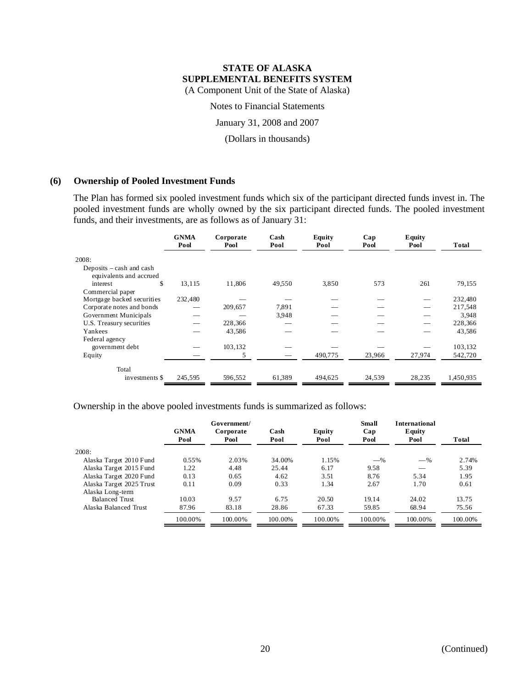Notes to Financial Statements

January 31, 2008 and 2007

(Dollars in thousands)

#### **(6) Ownership of Pooled Investment Funds**

The Plan has formed six pooled investment funds which six of the participant directed funds invest in. The pooled investment funds are wholly owned by the six participant directed funds. The pooled investment funds, and their investments, are as follows as of January 31:

|                            | <b>GNMA</b><br>Pool | Corporate<br>Pool | Cash<br>Pool | Equity<br>Pool | Cap<br>Pool | Equity<br>Pool | Total     |
|----------------------------|---------------------|-------------------|--------------|----------------|-------------|----------------|-----------|
| 2008:                      |                     |                   |              |                |             |                |           |
| Deposits $-\cosh$ and cash |                     |                   |              |                |             |                |           |
| equivalents and accrued    |                     |                   |              |                |             |                |           |
| \$<br>interest             | 13,115              | 11,806            | 49,550       | 3,850          | 573         | 261            | 79,155    |
| Commercial paper           |                     |                   |              |                |             |                |           |
| Mortgage backed securities | 232,480             |                   |              |                |             |                | 232,480   |
| Corporate notes and bonds  |                     | 209,657           | 7,891        |                |             |                | 217,548   |
| Government Municipals      |                     |                   | 3.948        |                |             |                | 3,948     |
| U.S. Treasury securities   |                     | 228,366           |              |                |             |                | 228,366   |
| Yankees                    |                     | 43,586            |              |                |             |                | 43,586    |
| Federal agency             |                     |                   |              |                |             |                |           |
| government debt            |                     | 103,132           |              |                |             |                | 103,132   |
| Equity                     |                     | 5                 |              | 490,775        | 23,966      | 27,974         | 542,720   |
| Total                      |                     |                   |              |                |             |                |           |
| investments \$             | 245,595             | 596,552           | 61.389       | 494,625        | 24,539      | 28,235         | 1,450,935 |

Ownership in the above pooled investments funds is summarized as follows:

|                          |                     | Government/       |              |                | <b>Small</b> | <b>International</b> |         |
|--------------------------|---------------------|-------------------|--------------|----------------|--------------|----------------------|---------|
|                          | <b>GNMA</b><br>Pool | Corporate<br>Pool | Cash<br>Pool | Equity<br>Pool | Cap<br>Pool  | Equity<br>Pool       | Total   |
| 2008:                    |                     |                   |              |                |              |                      |         |
| Alaska Target 2010 Fund  | 0.55%               | 2.03%             | 34.00%       | 1.15%          | $-$ %        | $-$ %                | 2.74%   |
| Alaska Target 2015 Fund  | 1.22                | 4.48              | 25.44        | 6.17           | 9.58         |                      | 5.39    |
| Alaska Target 2020 Fund  | 0.13                | 0.65              | 4.62         | 3.51           | 8.76         | 5.34                 | 1.95    |
| Alaska Target 2025 Trust | 0.11                | 0.09              | 0.33         | 1.34           | 2.67         | 1.70                 | 0.61    |
| Alaska Long-term         |                     |                   |              |                |              |                      |         |
| <b>Balanced Trust</b>    | 10.03               | 9.57              | 6.75         | 20.50          | 19.14        | 24.02                | 13.75   |
| Alaska Balanced Trust    | 87.96               | 83.18             | 28.86        | 67.33          | 59.85        | 68.94                | 75.56   |
|                          | 100.00%             | 100.00%           | 100.00%      | 100.00%        | 100.00%      | 100.00%              | 100.00% |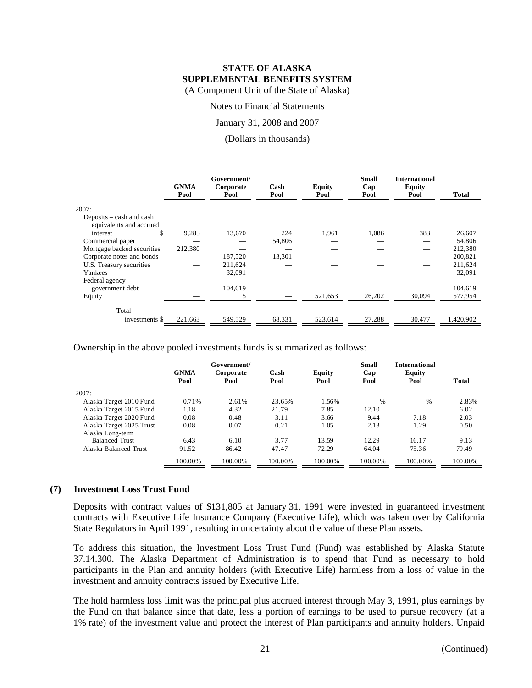Notes to Financial Statements

January 31, 2008 and 2007

(Dollars in thousands)

|                                                     | <b>GNMA</b><br>Pool | Government/<br>Corporate<br>Pool | Cash<br>Pool | <b>Equity</b><br>Pool | <b>Small</b><br>Cap<br>Pool | <b>International</b><br><b>Equity</b><br>Pool | <b>Total</b> |
|-----------------------------------------------------|---------------------|----------------------------------|--------------|-----------------------|-----------------------------|-----------------------------------------------|--------------|
| 2007:                                               |                     |                                  |              |                       |                             |                                               |              |
| Deposits – cash and cash<br>equivalents and accrued |                     |                                  |              |                       |                             |                                               |              |
| \$<br>interest                                      | 9,283               | 13,670                           | 224          | 1,961                 | 1,086                       | 383                                           | 26,607       |
| Commercial paper                                    |                     |                                  | 54,806       |                       |                             |                                               | 54,806       |
| Mortgage backed securities                          | 212,380             |                                  |              |                       |                             |                                               | 212,380      |
| Corporate notes and bonds                           |                     | 187,520                          | 13,301       |                       |                             |                                               | 200,821      |
| U.S. Treasury securities                            |                     | 211,624                          |              |                       |                             |                                               | 211,624      |
| Yankees                                             |                     | 32,091                           |              |                       |                             |                                               | 32,091       |
| Federal agency                                      |                     |                                  |              |                       |                             |                                               |              |
| government debt                                     |                     | 104,619                          |              |                       |                             |                                               | 104,619      |
| Equity                                              |                     | 5                                |              | 521,653               | 26,202                      | 30,094                                        | 577,954      |
| Total                                               |                     |                                  |              |                       |                             |                                               |              |
| investments \$                                      | 221,663             | 549,529                          | 68,331       | 523,614               | 27,288                      | 30,477                                        | 1,420,902    |

Ownership in the above pooled investments funds is summarized as follows:

|                          | Government/         |                   |              |                | Small       | <b>International</b> |         |  |
|--------------------------|---------------------|-------------------|--------------|----------------|-------------|----------------------|---------|--|
|                          | <b>GNMA</b><br>Pool | Corporate<br>Pool | Cash<br>Pool | Equity<br>Pool | Cap<br>Pool | Equity<br>Pool       | Total   |  |
| 2007:                    |                     |                   |              |                |             |                      |         |  |
| Alaska Target 2010 Fund  | 0.71%               | 2.61%             | 23.65%       | 1.56%          | $-$ %       | $-\%$                | 2.83%   |  |
| Alaska Target 2015 Fund  | 1.18                | 4.32              | 21.79        | 7.85           | 12.10       |                      | 6.02    |  |
| Alaska Target 2020 Fund  | 0.08                | 0.48              | 3.11         | 3.66           | 9.44        | 7.18                 | 2.03    |  |
| Alaska Target 2025 Trust | 0.08                | 0.07              | 0.21         | 1.05           | 2.13        | 1.29                 | 0.50    |  |
| Alaska Long-term         |                     |                   |              |                |             |                      |         |  |
| <b>Balanced Trust</b>    | 6.43                | 6.10              | 3.77         | 13.59          | 12.29       | 16.17                | 9.13    |  |
| Alaska Balanced Trust    | 91.52               | 86.42             | 47.47        | 72.29          | 64.04       | 75.36                | 79.49   |  |
|                          | 100.00%             | 100.00%           | 100.00%      | 100.00%        | 100.00%     | 100.00%              | 100.00% |  |

#### **(7) Investment Loss Trust Fund**

Deposits with contract values of \$131,805 at January 31, 1991 were invested in guaranteed investment contracts with Executive Life Insurance Company (Executive Life), which was taken over by California State Regulators in April 1991, resulting in uncertainty about the value of these Plan assets.

To address this situation, the Investment Loss Trust Fund (Fund) was established by Alaska Statute 37.14.300. The Alaska Department of Administration is to spend that Fund as necessary to hold participants in the Plan and annuity holders (with Executive Life) harmless from a loss of value in the investment and annuity contracts issued by Executive Life.

The hold harmless loss limit was the principal plus accrued interest through May 3, 1991, plus earnings by the Fund on that balance since that date, less a portion of earnings to be used to pursue recovery (at a 1% rate) of the investment value and protect the interest of Plan participants and annuity holders. Unpaid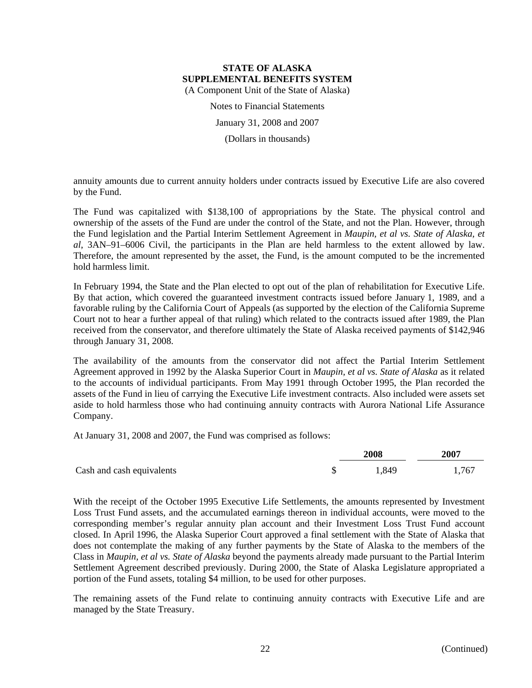Notes to Financial Statements

January 31, 2008 and 2007

(Dollars in thousands)

annuity amounts due to current annuity holders under contracts issued by Executive Life are also covered by the Fund.

The Fund was capitalized with \$138,100 of appropriations by the State. The physical control and ownership of the assets of the Fund are under the control of the State, and not the Plan. However, through the Fund legislation and the Partial Interim Settlement Agreement in *Maupin, et al vs. State of Alaska, et al*, 3AN–91–6006 Civil, the participants in the Plan are held harmless to the extent allowed by law. Therefore, the amount represented by the asset, the Fund, is the amount computed to be the incremented hold harmless limit.

In February 1994, the State and the Plan elected to opt out of the plan of rehabilitation for Executive Life. By that action, which covered the guaranteed investment contracts issued before January 1, 1989, and a favorable ruling by the California Court of Appeals (as supported by the election of the California Supreme Court not to hear a further appeal of that ruling) which related to the contracts issued after 1989, the Plan received from the conservator, and therefore ultimately the State of Alaska received payments of \$142,946 through January 31, 2008.

The availability of the amounts from the conservator did not affect the Partial Interim Settlement Agreement approved in 1992 by the Alaska Superior Court in *Maupin, et al vs. State of Alaska* as it related to the accounts of individual participants. From May 1991 through October 1995, the Plan recorded the assets of the Fund in lieu of carrying the Executive Life investment contracts. Also included were assets set aside to hold harmless those who had continuing annuity contracts with Aurora National Life Assurance Company.

At January 31, 2008 and 2007, the Fund was comprised as follows:

|                           | 2008  | 2007  |  |
|---------------------------|-------|-------|--|
| Cash and cash equivalents | 1,849 | 1,767 |  |

With the receipt of the October 1995 Executive Life Settlements, the amounts represented by Investment Loss Trust Fund assets, and the accumulated earnings thereon in individual accounts, were moved to the corresponding member's regular annuity plan account and their Investment Loss Trust Fund account closed. In April 1996, the Alaska Superior Court approved a final settlement with the State of Alaska that does not contemplate the making of any further payments by the State of Alaska to the members of the Class in *Maupin, et al vs. State of Alaska* beyond the payments already made pursuant to the Partial Interim Settlement Agreement described previously. During 2000, the State of Alaska Legislature appropriated a portion of the Fund assets, totaling \$4 million, to be used for other purposes.

The remaining assets of the Fund relate to continuing annuity contracts with Executive Life and are managed by the State Treasury.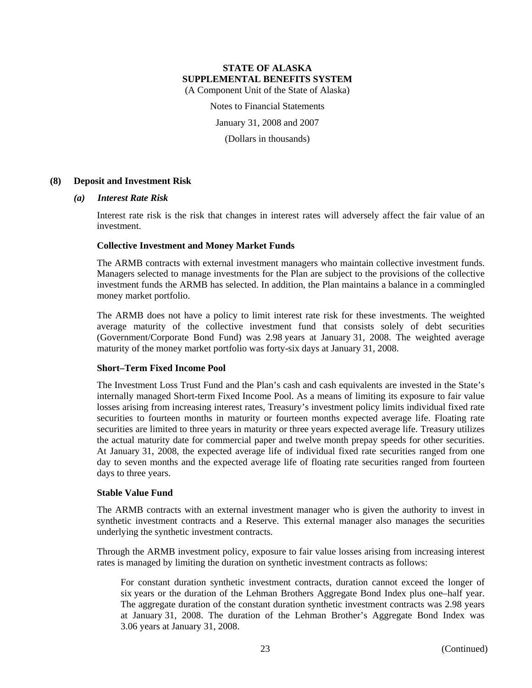Notes to Financial Statements

January 31, 2008 and 2007

(Dollars in thousands)

#### **(8) Deposit and Investment Risk**

#### *(a) Interest Rate Risk*

Interest rate risk is the risk that changes in interest rates will adversely affect the fair value of an investment.

#### **Collective Investment and Money Market Funds**

The ARMB contracts with external investment managers who maintain collective investment funds. Managers selected to manage investments for the Plan are subject to the provisions of the collective investment funds the ARMB has selected. In addition, the Plan maintains a balance in a commingled money market portfolio.

The ARMB does not have a policy to limit interest rate risk for these investments. The weighted average maturity of the collective investment fund that consists solely of debt securities (Government/Corporate Bond Fund) was 2.98 years at January 31, 2008. The weighted average maturity of the money market portfolio was forty-six days at January 31, 2008.

#### **Short–Term Fixed Income Pool**

The Investment Loss Trust Fund and the Plan's cash and cash equivalents are invested in the State's internally managed Short-term Fixed Income Pool. As a means of limiting its exposure to fair value losses arising from increasing interest rates, Treasury's investment policy limits individual fixed rate securities to fourteen months in maturity or fourteen months expected average life. Floating rate securities are limited to three years in maturity or three years expected average life. Treasury utilizes the actual maturity date for commercial paper and twelve month prepay speeds for other securities. At January 31, 2008, the expected average life of individual fixed rate securities ranged from one day to seven months and the expected average life of floating rate securities ranged from fourteen days to three years.

#### **Stable Value Fund**

The ARMB contracts with an external investment manager who is given the authority to invest in synthetic investment contracts and a Reserve. This external manager also manages the securities underlying the synthetic investment contracts.

Through the ARMB investment policy, exposure to fair value losses arising from increasing interest rates is managed by limiting the duration on synthetic investment contracts as follows:

For constant duration synthetic investment contracts, duration cannot exceed the longer of six years or the duration of the Lehman Brothers Aggregate Bond Index plus one–half year. The aggregate duration of the constant duration synthetic investment contracts was 2.98 years at January 31, 2008. The duration of the Lehman Brother's Aggregate Bond Index was 3.06 years at January 31, 2008.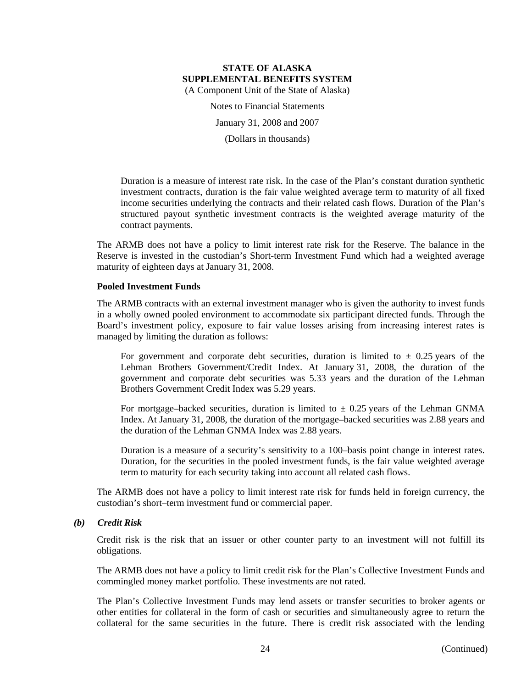Notes to Financial Statements

January 31, 2008 and 2007

(Dollars in thousands)

Duration is a measure of interest rate risk. In the case of the Plan's constant duration synthetic investment contracts, duration is the fair value weighted average term to maturity of all fixed income securities underlying the contracts and their related cash flows. Duration of the Plan's structured payout synthetic investment contracts is the weighted average maturity of the contract payments.

The ARMB does not have a policy to limit interest rate risk for the Reserve. The balance in the Reserve is invested in the custodian's Short-term Investment Fund which had a weighted average maturity of eighteen days at January 31, 2008.

#### **Pooled Investment Funds**

The ARMB contracts with an external investment manager who is given the authority to invest funds in a wholly owned pooled environment to accommodate six participant directed funds. Through the Board's investment policy, exposure to fair value losses arising from increasing interest rates is managed by limiting the duration as follows:

For government and corporate debt securities, duration is limited to  $\pm$  0.25 years of the Lehman Brothers Government/Credit Index. At January 31, 2008, the duration of the government and corporate debt securities was 5.33 years and the duration of the Lehman Brothers Government Credit Index was 5.29 years.

For mortgage–backed securities, duration is limited to  $\pm$  0.25 years of the Lehman GNMA Index. At January 31, 2008, the duration of the mortgage–backed securities was 2.88 years and the duration of the Lehman GNMA Index was 2.88 years.

Duration is a measure of a security's sensitivity to a 100–basis point change in interest rates. Duration, for the securities in the pooled investment funds, is the fair value weighted average term to maturity for each security taking into account all related cash flows.

The ARMB does not have a policy to limit interest rate risk for funds held in foreign currency, the custodian's short–term investment fund or commercial paper.

#### *(b) Credit Risk*

Credit risk is the risk that an issuer or other counter party to an investment will not fulfill its obligations.

The ARMB does not have a policy to limit credit risk for the Plan's Collective Investment Funds and commingled money market portfolio. These investments are not rated.

The Plan's Collective Investment Funds may lend assets or transfer securities to broker agents or other entities for collateral in the form of cash or securities and simultaneously agree to return the collateral for the same securities in the future. There is credit risk associated with the lending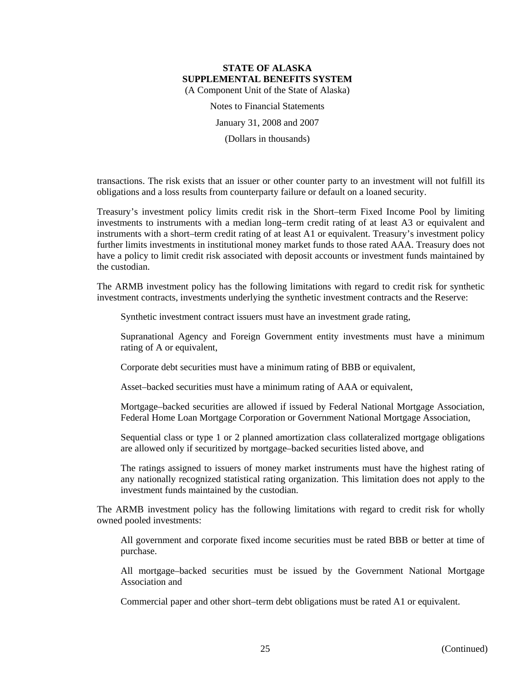Notes to Financial Statements January 31, 2008 and 2007

(Dollars in thousands)

transactions. The risk exists that an issuer or other counter party to an investment will not fulfill its obligations and a loss results from counterparty failure or default on a loaned security.

Treasury's investment policy limits credit risk in the Short–term Fixed Income Pool by limiting investments to instruments with a median long–term credit rating of at least A3 or equivalent and instruments with a short–term credit rating of at least A1 or equivalent. Treasury's investment policy further limits investments in institutional money market funds to those rated AAA. Treasury does not have a policy to limit credit risk associated with deposit accounts or investment funds maintained by the custodian.

The ARMB investment policy has the following limitations with regard to credit risk for synthetic investment contracts, investments underlying the synthetic investment contracts and the Reserve:

Synthetic investment contract issuers must have an investment grade rating,

Supranational Agency and Foreign Government entity investments must have a minimum rating of A or equivalent,

Corporate debt securities must have a minimum rating of BBB or equivalent,

Asset–backed securities must have a minimum rating of AAA or equivalent,

Mortgage–backed securities are allowed if issued by Federal National Mortgage Association, Federal Home Loan Mortgage Corporation or Government National Mortgage Association,

Sequential class or type 1 or 2 planned amortization class collateralized mortgage obligations are allowed only if securitized by mortgage–backed securities listed above, and

The ratings assigned to issuers of money market instruments must have the highest rating of any nationally recognized statistical rating organization. This limitation does not apply to the investment funds maintained by the custodian.

The ARMB investment policy has the following limitations with regard to credit risk for wholly owned pooled investments:

All government and corporate fixed income securities must be rated BBB or better at time of purchase.

All mortgage–backed securities must be issued by the Government National Mortgage Association and

Commercial paper and other short–term debt obligations must be rated A1 or equivalent.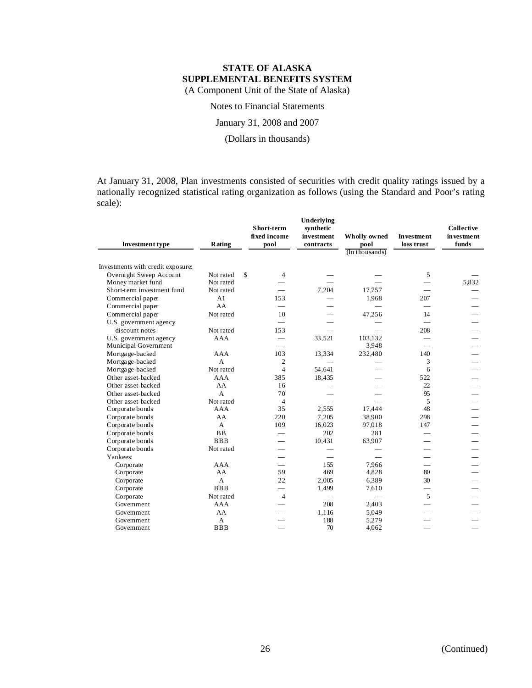## Notes to Financial Statements

#### January 31, 2008 and 2007

### (Dollars in thousands)

At January 31, 2008, Plan investments consisted of securities with credit quality ratings issued by a nationally recognized statistical rating organization as follows (using the Standard and Poor's rating scale):

| <b>Investment type</b>            | Rating     | Short-term<br>fixed income<br>pool | Underlying<br>synthetic<br>investment<br>contracts | Wholly owned<br>pool<br>(In thousands) | <b>Investment</b><br>loss trust | <b>Collective</b><br>in vestment<br>funds |
|-----------------------------------|------------|------------------------------------|----------------------------------------------------|----------------------------------------|---------------------------------|-------------------------------------------|
|                                   |            |                                    |                                                    |                                        |                                 |                                           |
| Investments with credit exposure: |            |                                    |                                                    |                                        |                                 |                                           |
| Overnight Sweep Account           | Not rated  | $\mathcal{S}$<br>4                 |                                                    |                                        | 5                               |                                           |
| Money market fund                 | Not rated  |                                    |                                                    |                                        |                                 | 5,832                                     |
| Short-term investment fund        | Not rated  |                                    | 7,204                                              | 17,757                                 |                                 |                                           |
| Commercial paper                  | A1         | 153                                |                                                    | 1,968                                  | 207                             |                                           |
| Commercial paper                  | AA         | $\overline{\phantom{0}}$           |                                                    |                                        |                                 |                                           |
| Commercial paper                  | Not rated  | 10                                 |                                                    | 47.256                                 | 14                              |                                           |
| U.S. government agency            |            |                                    |                                                    |                                        |                                 |                                           |
| discount notes                    | Not rated  | 153                                |                                                    |                                        | 208                             |                                           |
| U.S. government agency            | <b>AAA</b> | $\overline{\phantom{0}}$           | 33,521                                             | 103.132                                |                                 |                                           |
| Municipal Government              |            |                                    |                                                    | 3.948                                  |                                 |                                           |
| Mortgage-backed                   | <b>AAA</b> | 103                                | 13,334                                             | 232,480                                | 140                             |                                           |
| Mortgage-backed                   | A          | $\overline{2}$                     |                                                    |                                        | 3                               |                                           |
| Mortgage-backed                   | Not rated  | $\overline{4}$                     | 54,641                                             |                                        | 6                               |                                           |
| Other asset-backed                | AAA        | 385                                | 18,435                                             |                                        | 522                             |                                           |
| Other asset-backed                | AA         | 16                                 |                                                    |                                        | 22                              |                                           |
| Other asset-backed                | A          | 70                                 |                                                    |                                        | 95                              |                                           |
| Other asset-backed                | Not rated  | $\overline{4}$                     |                                                    |                                        | 5                               |                                           |
| Corporate bonds                   | AAA        | 35                                 | 2,555                                              | 17,444                                 | 48                              |                                           |
| Corporate bonds                   | AA         | 220                                | 7,205                                              | 38,900                                 | 298                             |                                           |
| Corporate bonds                   | A          | 109                                | 16,023                                             | 97,018                                 | 147                             |                                           |
| Corporate bonds                   | <b>BB</b>  |                                    | 202                                                | 281                                    |                                 |                                           |
| Corporate bonds                   | <b>BBB</b> |                                    | 10,431                                             | 63,907                                 |                                 |                                           |
| Corporate bonds                   | Not rated  |                                    |                                                    |                                        |                                 |                                           |
| Yankees:                          |            |                                    |                                                    |                                        |                                 |                                           |
| Corporate                         | <b>AAA</b> |                                    | 1.55                                               | 7.966                                  |                                 |                                           |
| Corporate                         | AA         | 59                                 | 469                                                | 4,828                                  | 80                              |                                           |
| Corporate                         | A          | 22                                 | 2,005                                              | 6,389                                  | 30                              |                                           |
| Corporate                         | <b>BBB</b> | $\equiv$                           | 1,499                                              | 7,610                                  |                                 |                                           |
| Corporate                         | Not rated  | $\overline{4}$                     |                                                    |                                        | 5                               |                                           |
| Government                        | AAA        |                                    | 208                                                | 2,403                                  |                                 |                                           |
| Government                        | AA         |                                    | 1,116                                              | 5.049                                  |                                 |                                           |
| Government                        | A          |                                    | 188                                                | 5.279                                  |                                 |                                           |
| Government                        | <b>BBB</b> |                                    | 70                                                 | 4,062                                  |                                 |                                           |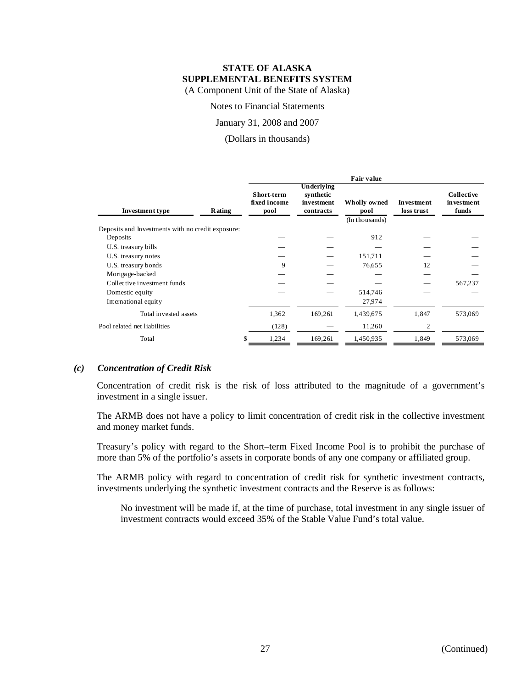Notes to Financial Statements

January 31, 2008 and 2007

(Dollars in thousands)

|                                                   |        | <b>Fair value</b>                  |                                                    |                      |                          |                                           |
|---------------------------------------------------|--------|------------------------------------|----------------------------------------------------|----------------------|--------------------------|-------------------------------------------|
| <b>Investment type</b>                            | Rating | Short-term<br>fixed income<br>pool | Underlying<br>synthetic<br>investment<br>contracts | Wholly owned<br>pool | Investment<br>loss trust | <b>Collective</b><br>in vestment<br>funds |
|                                                   |        |                                    |                                                    | (In thousands)       |                          |                                           |
| Deposits and Investments with no credit exposure: |        |                                    |                                                    |                      |                          |                                           |
| Deposits                                          |        |                                    |                                                    | 912                  |                          |                                           |
| U.S. treasury bills                               |        |                                    |                                                    |                      |                          |                                           |
| U.S. treasury notes                               |        |                                    |                                                    | 151,711              |                          |                                           |
| U.S. treasury bonds                               |        | 9                                  |                                                    | 76,655               | 12                       |                                           |
| Mortgage-backed                                   |        |                                    |                                                    |                      |                          |                                           |
| Collective investment funds                       |        |                                    |                                                    |                      |                          | 567,237                                   |
| Domestic equity                                   |        |                                    |                                                    | 514,746              |                          |                                           |
| International equity                              |        |                                    |                                                    | 27,974               |                          |                                           |
| Total invested assets                             |        | 1,362                              | 169,261                                            | 1,439,675            | 1,847                    | 573,069                                   |
| Pool related net liabilities                      |        | (128)                              |                                                    | 11,260               | 2                        |                                           |
| Total                                             | S      | 1,234                              | 169,261                                            | 1,450,935            | 1,849                    | 573,069                                   |

#### *(c) Concentration of Credit Risk*

Concentration of credit risk is the risk of loss attributed to the magnitude of a government's investment in a single issuer.

The ARMB does not have a policy to limit concentration of credit risk in the collective investment and money market funds.

Treasury's policy with regard to the Short–term Fixed Income Pool is to prohibit the purchase of more than 5% of the portfolio's assets in corporate bonds of any one company or affiliated group.

The ARMB policy with regard to concentration of credit risk for synthetic investment contracts, investments underlying the synthetic investment contracts and the Reserve is as follows:

No investment will be made if, at the time of purchase, total investment in any single issuer of investment contracts would exceed 35% of the Stable Value Fund's total value.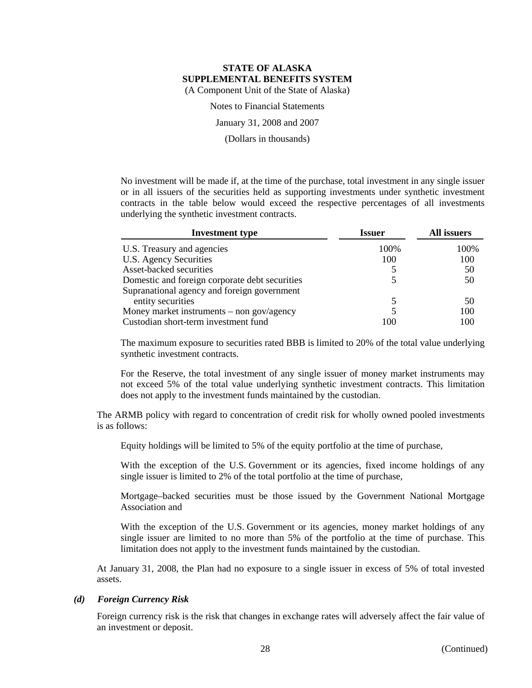Notes to Financial Statements

January 31, 2008 and 2007

(Dollars in thousands)

No investment will be made if, at the time of the purchase, total investment in any single issuer or in all issuers of the securities held as supporting investments under synthetic investment contracts in the table below would exceed the respective percentages of all investments underlying the synthetic investment contracts.

| <b>Investment</b> type                         | <b>Issuer</b> | All issuers |  |
|------------------------------------------------|---------------|-------------|--|
| U.S. Treasury and agencies                     | 100%          | 100%        |  |
| U.S. Agency Securities                         | 100           | 100         |  |
| Asset-backed securities                        |               | 50          |  |
| Domestic and foreign corporate debt securities |               | 50          |  |
| Supranational agency and foreign government    |               |             |  |
| entity securities                              |               | 50          |  |
| Money market instruments – non gov/agency      |               | 100         |  |
| Custodian short-term investment fund           | 100           | 100         |  |

The maximum exposure to securities rated BBB is limited to 20% of the total value underlying synthetic investment contracts.

For the Reserve, the total investment of any single issuer of money market instruments may not exceed 5% of the total value underlying synthetic investment contracts. This limitation does not apply to the investment funds maintained by the custodian.

The ARMB policy with regard to concentration of credit risk for wholly owned pooled investments is as follows:

Equity holdings will be limited to 5% of the equity portfolio at the time of purchase,

With the exception of the U.S. Government or its agencies, fixed income holdings of any single issuer is limited to 2% of the total portfolio at the time of purchase,

Mortgage–backed securities must be those issued by the Government National Mortgage Association and

With the exception of the U.S. Government or its agencies, money market holdings of any single issuer are limited to no more than 5% of the portfolio at the time of purchase. This limitation does not apply to the investment funds maintained by the custodian.

At January 31, 2008, the Plan had no exposure to a single issuer in excess of 5% of total invested assets.

#### *(d) Foreign Currency Risk*

Foreign currency risk is the risk that changes in exchange rates will adversely affect the fair value of an investment or deposit.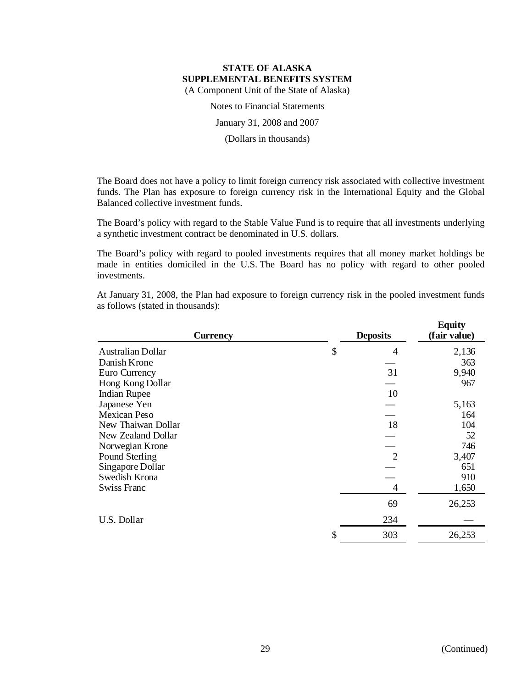Notes to Financial Statements

January 31, 2008 and 2007

(Dollars in thousands)

The Board does not have a policy to limit foreign currency risk associated with collective investment funds. The Plan has exposure to foreign currency risk in the International Equity and the Global Balanced collective investment funds.

The Board's policy with regard to the Stable Value Fund is to require that all investments underlying a synthetic investment contract be denominated in U.S. dollars.

The Board's policy with regard to pooled investments requires that all money market holdings be made in entities domiciled in the U.S. The Board has no policy with regard to other pooled investments.

At January 31, 2008, the Plan had exposure to foreign currency risk in the pooled investment funds as follows (stated in thousands):

| <b>Currency</b>     | <b>Deposits</b> | <b>Equity</b><br>(fair value) |
|---------------------|-----------------|-------------------------------|
| Australian Dollar   | \$<br>4         | 2,136                         |
| Danish Krone        |                 | 363                           |
| Euro Currency       | 31              | 9,940                         |
| Hong Kong Dollar    |                 | 967                           |
| <b>Indian Rupee</b> | 10              |                               |
| Japanese Yen        |                 | 5,163                         |
| Mexican Peso        |                 | 164                           |
| New Thaiwan Dollar  | 18              | 104                           |
| New Zealand Dollar  |                 | 52                            |
| Norwegian Krone     |                 | 746                           |
| Pound Sterling      | $\overline{2}$  | 3,407                         |
| Singapore Dollar    |                 | 651                           |
| Swedish Krona       |                 | 910                           |
| Swiss Franc         | 4               | 1,650                         |
|                     | 69              | 26,253                        |
| U.S. Dollar         | 234             |                               |
|                     | \$<br>303       | 26,253                        |